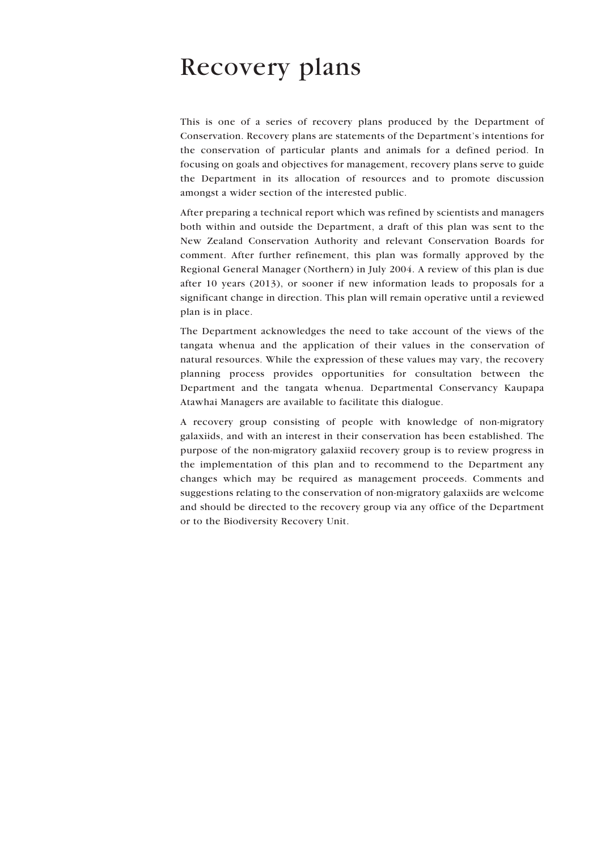## Recovery plans

This is one of a series of recovery plans produced by the Department of Conservation. Recovery plans are statements of the Department's intentions for the conservation of particular plants and animals for a defined period. In focusing on goals and objectives for management, recovery plans serve to guide the Department in its allocation of resources and to promote discussion amongst a wider section of the interested public.

After preparing a technical report which was refined by scientists and managers both within and outside the Department, a draft of this plan was sent to the New Zealand Conservation Authority and relevant Conservation Boards for comment. After further refinement, this plan was formally approved by the Regional General Manager (Northern) in July 2004. A review of this plan is due after 10 years (2013), or sooner if new information leads to proposals for a significant change in direction. This plan will remain operative until a reviewed plan is in place.

The Department acknowledges the need to take account of the views of the tangata whenua and the application of their values in the conservation of natural resources. While the expression of these values may vary, the recovery planning process provides opportunities for consultation between the Department and the tangata whenua. Departmental Conservancy Kaupapa Atawhai Managers are available to facilitate this dialogue.

A recovery group consisting of people with knowledge of non-migratory galaxiids, and with an interest in their conservation has been established. The purpose of the non-migratory galaxiid recovery group is to review progress in the implementation of this plan and to recommend to the Department any changes which may be required as management proceeds. Comments and suggestions relating to the conservation of non-migratory galaxiids are welcome and should be directed to the recovery group via any office of the Department or to the Biodiversity Recovery Unit.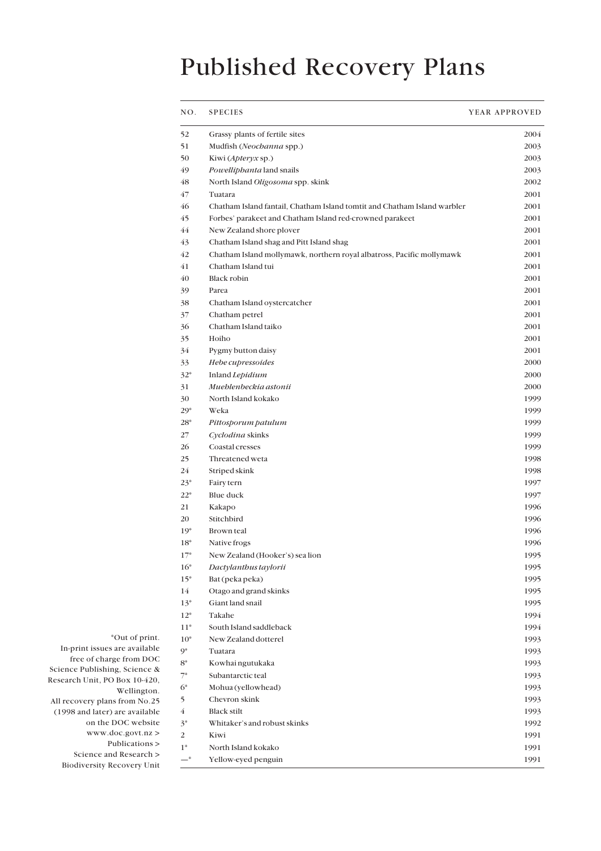# Published Recovery Plans

| NO.            | <b>SPECIES</b>                                                           | YEAR APPROVED |
|----------------|--------------------------------------------------------------------------|---------------|
| 52             | Grassy plants of fertile sites                                           | 2004          |
| 51             | Mudfish (Neochanna spp.)                                                 | 2003          |
| 50             | Kiwi (Apteryx sp.)                                                       | 2003          |
| 49             | Powelliphanta land snails                                                | 2003          |
| 48             | North Island Oligosoma spp. skink                                        | 2002          |
| 47             | Tuatara                                                                  | 2001          |
| 46             | Chatham Island fantail, Chatham Island tomtit and Chatham Island warbler | 2001          |
| 45             | Forbes' parakeet and Chatham Island red-crowned parakeet                 | 2001          |
| 44             | New Zealand shore plover                                                 | 2001          |
| 43             | Chatham Island shag and Pitt Island shag                                 | 2001          |
| 42             | Chatham Island mollymawk, northern royal albatross, Pacific mollymawk    | 2001          |
| 41             | Chatham Island tui                                                       | 2001          |
| 40             | Black robin                                                              | 2001          |
| 39             | Parea                                                                    | 2001          |
| 38             | Chatham Island oystercatcher                                             | 2001          |
| 37             | Chatham petrel                                                           | 2001          |
| 36             | Chatham Island taiko                                                     | 2001          |
| 35             | Hoiho                                                                    | 2001          |
| 34             | Pygmy button daisy                                                       | 2001          |
| 33             | Hebe cupressoides                                                        | 2000          |
| $32*$          | Inland Lepidium                                                          | 2000          |
| 31             | Mueblenbeckia astonii                                                    | 2000          |
| 30             | North Island kokako                                                      | 1999          |
| $29*$          | Weka                                                                     | 1999          |
| $28*$          | Pittosporum patulum                                                      | 1999          |
| 27             | Cyclodina skinks                                                         | 1999          |
| 26             | Coastal cresses                                                          | 1999          |
| 25             | Threatened weta                                                          | 1998          |
| 24             | Striped skink                                                            | 1998          |
| $23*$          | Fairy tern                                                               | 1997          |
| $22*$          | Blue duck                                                                | 1997          |
| 21             | Kakapo                                                                   | 1996          |
| 20             | Stitchbird                                                               | 1996          |
| $19*$          | Brown teal                                                               | 1996          |
| 18*            | Native frogs                                                             | 1996          |
| $17*$          | New Zealand (Hooker's) sea lion                                          | 1995          |
| $16*$          | Dactylanthus taylorii                                                    | 1995          |
| $15*$          | Bat (peka peka)                                                          | 1995          |
| 14             | Otago and grand skinks                                                   | 1995          |
| $13*$          | Giant land snail                                                         | 1995          |
| $12*$          | Takahe                                                                   | 1994          |
| $11*$          | South Island saddleback                                                  | 1994          |
| $10*$          | New Zealand dotterel                                                     | 1993          |
| 9*             | Tuatara                                                                  | 1993          |
| $8^*$          | Kowhai ngutukaka                                                         | 1993          |
| $7^*$          | Subantarctic teal                                                        | 1993          |
| $6*$           | Mohua (yellowhead)                                                       | 1993          |
| 5              | Chevron skink                                                            | 1993          |
| 4              | <b>Black stilt</b>                                                       | 1993          |
| $3^*$          | Whitaker's and robust skinks                                             | 1992          |
| $\overline{c}$ | Kiwi                                                                     | 1991          |
| $1*$           | North Island kokako                                                      | 1991          |
| $-$ *          | Yellow-eyed penguin                                                      | 1991          |
|                |                                                                          |               |

\*Out of print. In-print issues are available free of charge from DOC Science Publishing, Science & Research Unit, PO Box 10-420, Wellington. All recovery plans from No.25 (1998 and later) are available on the DOC website www.doc.govt.nz > Publications > Science and Research >

Biodiversity Recovery Unit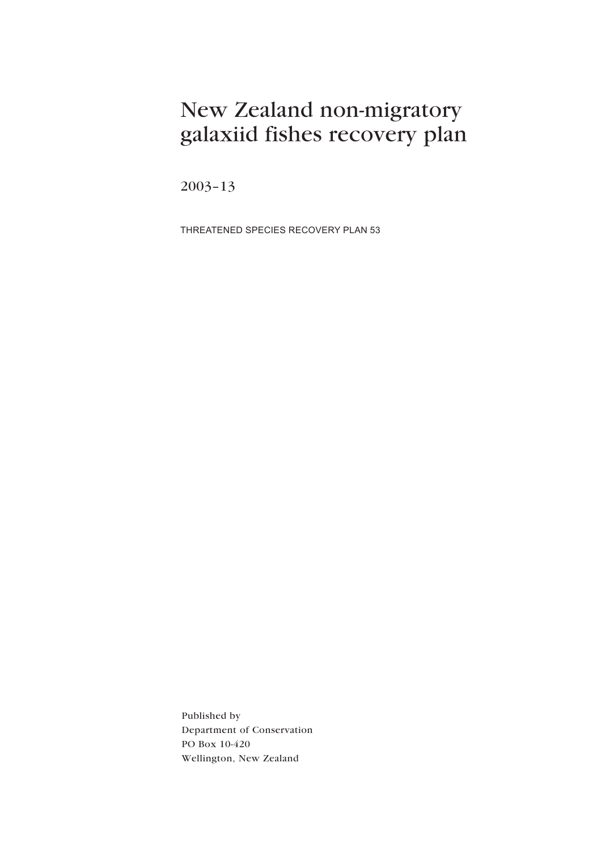## New Zealand non-migratory galaxiid fishes recovery plan

 $2003 - 13$ 

THREATENED SPECIES RECOVERY PLAN 53

Published by Department of Conservation PO Box 10-420 Wellington, New Zealand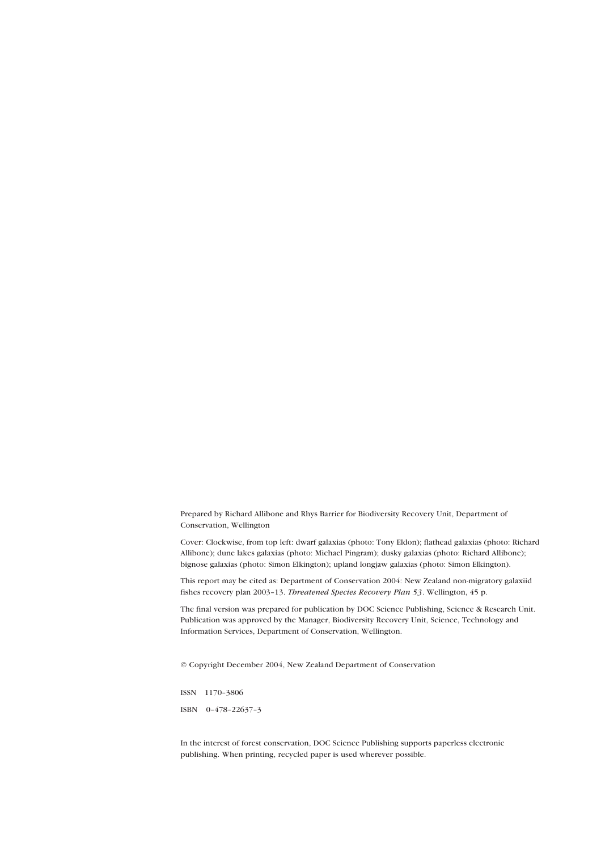Prepared by Richard Allibone and Rhys Barrier for Biodiversity Recovery Unit, Department of Conservation, Wellington

Cover: Clockwise, from top left: dwarf galaxias (photo: Tony Eldon); flathead galaxias (photo: Richard Allibone); dune lakes galaxias (photo: Michael Pingram); dusky galaxias (photo: Richard Allibone); bignose galaxias (photo: Simon Elkington); upland longjaw galaxias (photo: Simon Elkington).

This report may be cited as: Department of Conservation 2004: New Zealand non-migratory galaxiid fishes recovery plan 2003-13. Threatened Species Recovery Plan 53. Wellington, 45 p.

The final version was prepared for publication by DOC Science Publishing, Science & Research Unit. Publication was approved by the Manager, Biodiversity Recovery Unit, Science, Technology and Information Services, Department of Conservation, Wellington.

© Copyright December 2004, New Zealand Department of Conservation

ISSN 1170-3806 ISBN  $0-478-22637-3$ 

In the interest of forest conservation, DOC Science Publishing supports paperless electronic publishing. When printing, recycled paper is used wherever possible.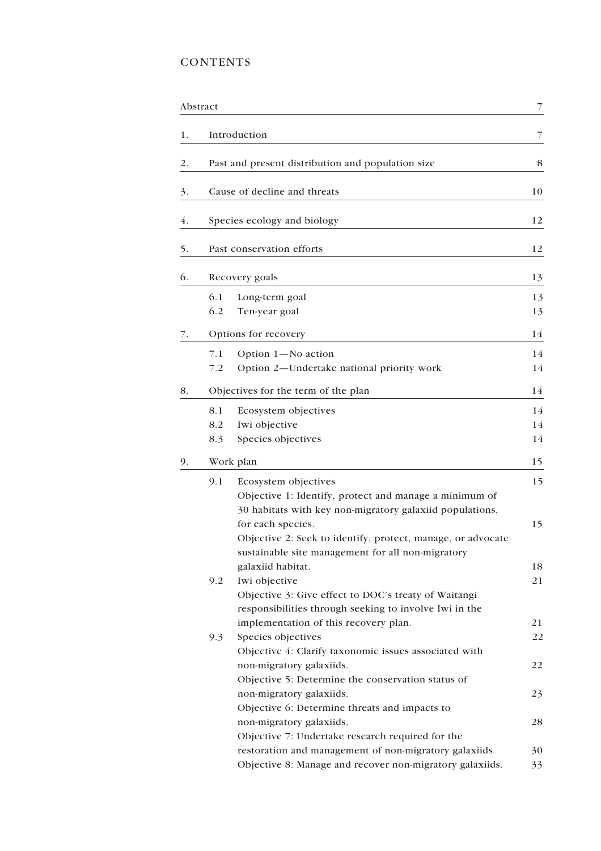## **CONTENTS**

|    | Abstract                  |                                                                                                                  | 7  |  |  |  |  |
|----|---------------------------|------------------------------------------------------------------------------------------------------------------|----|--|--|--|--|
| 1. |                           | Introduction                                                                                                     | 7  |  |  |  |  |
| 2. |                           | Past and present distribution and population size                                                                | 8  |  |  |  |  |
| 3. |                           | Cause of decline and threats                                                                                     | 10 |  |  |  |  |
| 4. |                           | Species ecology and biology                                                                                      | 12 |  |  |  |  |
| 5. | Past conservation efforts |                                                                                                                  |    |  |  |  |  |
| 6. |                           | Recovery goals                                                                                                   | 13 |  |  |  |  |
|    | 6.1                       | Long-term goal                                                                                                   | 13 |  |  |  |  |
|    | 6.2                       | Ten-year goal                                                                                                    | 13 |  |  |  |  |
| 7. |                           | Options for recovery                                                                                             | 14 |  |  |  |  |
|    | 7.1                       | Option 1-No action                                                                                               | 14 |  |  |  |  |
|    | 7.2                       | Option 2-Undertake national priority work                                                                        | 14 |  |  |  |  |
| 8. |                           | Objectives for the term of the plan                                                                              | 14 |  |  |  |  |
|    | 8.1                       | Ecosystem objectives                                                                                             | 14 |  |  |  |  |
|    | 8.2                       | Iwi objective                                                                                                    | 14 |  |  |  |  |
|    | 8.3                       | Species objectives                                                                                               | 14 |  |  |  |  |
| 9. |                           | Work plan                                                                                                        | 15 |  |  |  |  |
|    | 9.1                       | Ecosystem objectives                                                                                             | 15 |  |  |  |  |
|    |                           | Objective 1: Identify, protect and manage a minimum of                                                           |    |  |  |  |  |
|    |                           | 30 habitats with key non-migratory galaxiid populations,                                                         |    |  |  |  |  |
|    |                           | for each species.                                                                                                | 15 |  |  |  |  |
|    |                           | Objective 2: Seek to identify, protect, manage, or advocate<br>sustainable site management for all non-migratory |    |  |  |  |  |
|    |                           | galaxiid habitat.                                                                                                | 18 |  |  |  |  |
|    | 9.2                       | Iwi objective                                                                                                    | 21 |  |  |  |  |
|    |                           | Objective 3: Give effect to DOC's treaty of Waitangi                                                             |    |  |  |  |  |
|    |                           | responsibilities through seeking to involve Iwi in the                                                           |    |  |  |  |  |
|    |                           | implementation of this recovery plan.                                                                            | 21 |  |  |  |  |
|    | 9.3                       | Species objectives                                                                                               | 22 |  |  |  |  |
|    |                           | Objective 4: Clarify taxonomic issues associated with<br>non-migratory galaxiids.                                | 22 |  |  |  |  |
|    |                           | Objective 5: Determine the conservation status of                                                                |    |  |  |  |  |
|    |                           | non-migratory galaxiids.                                                                                         | 23 |  |  |  |  |
|    |                           | Objective 6: Determine threats and impacts to                                                                    |    |  |  |  |  |
|    |                           | non-migratory galaxiids.                                                                                         | 28 |  |  |  |  |
|    |                           | Objective 7: Undertake research required for the                                                                 |    |  |  |  |  |
|    |                           | restoration and management of non-migratory galaxiids.                                                           | 30 |  |  |  |  |
|    |                           | Objective 8: Manage and recover non-migratory galaxiids.                                                         | 33 |  |  |  |  |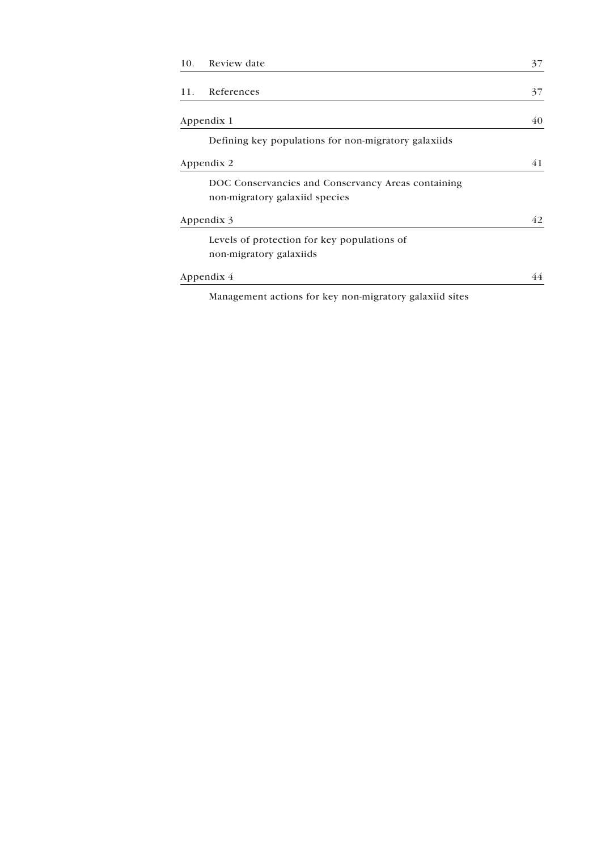| 10. | Review date                                                                                                                                                                                                                     | 37 |
|-----|---------------------------------------------------------------------------------------------------------------------------------------------------------------------------------------------------------------------------------|----|
|     |                                                                                                                                                                                                                                 |    |
|     | 11. References                                                                                                                                                                                                                  | 37 |
|     |                                                                                                                                                                                                                                 |    |
|     | Appendix 1                                                                                                                                                                                                                      | 40 |
|     | Defining key populations for non-migratory galaxiids                                                                                                                                                                            |    |
|     | Appendix 2                                                                                                                                                                                                                      | 41 |
|     | DOC Conservancies and Conservancy Areas containing                                                                                                                                                                              |    |
|     | non-migratory galaxiid species                                                                                                                                                                                                  |    |
|     | Appendix 3                                                                                                                                                                                                                      | 42 |
|     | Levels of protection for key populations of                                                                                                                                                                                     |    |
|     | non-migratory galaxiids                                                                                                                                                                                                         |    |
|     | Appendix 4                                                                                                                                                                                                                      | 44 |
|     | $\sim$ . The contract of the contract of the contract of the contract of the contract of the contract of the contract of the contract of the contract of the contract of the contract of the contract of the contract of the co |    |

Management actions for key non-migratory galaxiid sites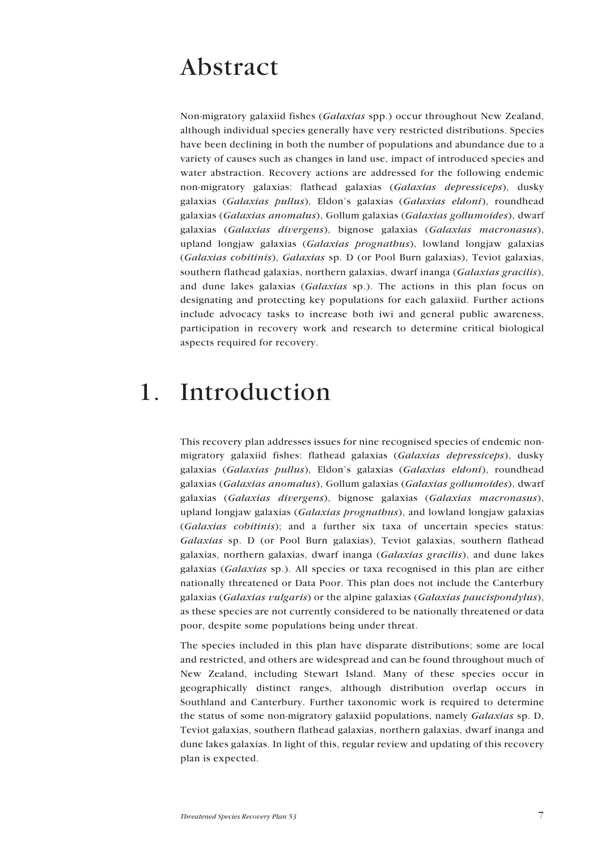## <span id="page-6-0"></span>Abstract

Non-migratory galaxiid fishes (*Galaxias* spp.) occur throughout New Zealand, although individual species generally have very restricted distributions. Species have been declining in both the number of populations and abundance due to a variety of causes such as changes in land use, impact of introduced species and water abstraction. Recovery actions are addressed for the following endemic non-migratory galaxias: flathead galaxias (*Galaxias depressiceps*), dusky galaxias (*Galaxias pullus*), Eldonís galaxias (*Galaxias eldoni*), roundhead galaxias (*Galaxias anomalus*), Gollum galaxias (*Galaxias gollumoides*), dwarf galaxias (*Galaxias divergens*), bignose galaxias (*Galaxias macronasus*), upland longjaw galaxias (*Galaxias prognathus*), lowland longjaw galaxias (*Galaxias cobitinis*), *Galaxias* sp. D (or Pool Burn galaxias), Teviot galaxias, southern flathead galaxias, northern galaxias, dwarf inanga (*Galaxias gracilis*), and dune lakes galaxias (*Galaxias* sp.). The actions in this plan focus on designating and protecting key populations for each galaxiid. Further actions include advocacy tasks to increase both iwi and general public awareness, participation in recovery work and research to determine critical biological aspects required for recovery.

## 1. Introduction

This recovery plan addresses issues for nine recognised species of endemic nonmigratory galaxiid fishes: flathead galaxias (*Galaxias depressiceps*), dusky galaxias (Galaxias pullus), Eldon's galaxias (Galaxias eldoni), roundhead galaxias (*Galaxias anomalus*), Gollum galaxias (*Galaxias gollumoides*), dwarf galaxias (*Galaxias divergens*), bignose galaxias (*Galaxias macronasus*), upland longjaw galaxias (*Galaxias prognathus*), and lowland longjaw galaxias (*Galaxias cobitinis*); and a further six taxa of uncertain species status: *Galaxias* sp. D (or Pool Burn galaxias), Teviot galaxias, southern flathead galaxias, northern galaxias, dwarf inanga (*Galaxias gracilis*), and dune lakes galaxias (*Galaxias* sp.). All species or taxa recognised in this plan are either nationally threatened or Data Poor. This plan does not include the Canterbury galaxias (*Galaxias vulgaris*) or the alpine galaxias (*Galaxias paucispondylus*), as these species are not currently considered to be nationally threatened or data poor, despite some populations being under threat.

The species included in this plan have disparate distributions; some are local and restricted, and others are widespread and can be found throughout much of New Zealand, including Stewart Island. Many of these species occur in geographically distinct ranges, although distribution overlap occurs in Southland and Canterbury. Further taxonomic work is required to determine the status of some non-migratory galaxiid populations, namely *Galaxias* sp. D, Teviot galaxias, southern flathead galaxias, northern galaxias, dwarf inanga and dune lakes galaxias. In light of this, regular review and updating of this recovery plan is expected.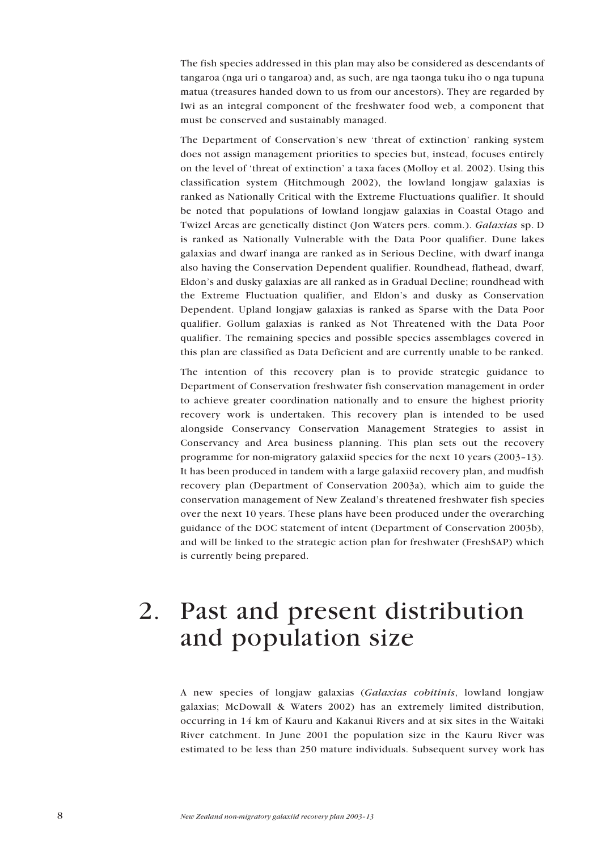<span id="page-7-0"></span>The fish species addressed in this plan may also be considered as descendants of tangaroa (nga uri o tangaroa) and, as such, are nga taonga tuku iho o nga tupuna matua (treasures handed down to us from our ancestors). They are regarded by Iwi as an integral component of the freshwater food web, a component that must be conserved and sustainably managed.

The Department of Conservation's new 'threat of extinction' ranking system does not assign management priorities to species but, instead, focuses entirely on the level of 'threat of extinction' a taxa faces (Molloy et al. 2002). Using this classification system (Hitchmough 2002), the lowland longjaw galaxias is ranked as Nationally Critical with the Extreme Fluctuations qualifier. It should be noted that populations of lowland longjaw galaxias in Coastal Otago and Twizel Areas are genetically distinct (Jon Waters pers. comm.). *Galaxias* sp. D is ranked as Nationally Vulnerable with the Data Poor qualifier. Dune lakes galaxias and dwarf inanga are ranked as in Serious Decline, with dwarf inanga also having the Conservation Dependent qualifier. Roundhead, flathead, dwarf, Eldon's and dusky galaxias are all ranked as in Gradual Decline; roundhead with the Extreme Fluctuation qualifier, and Eldon's and dusky as Conservation Dependent. Upland longjaw galaxias is ranked as Sparse with the Data Poor qualifier. Gollum galaxias is ranked as Not Threatened with the Data Poor qualifier. The remaining species and possible species assemblages covered in this plan are classified as Data Deficient and are currently unable to be ranked.

The intention of this recovery plan is to provide strategic guidance to Department of Conservation freshwater fish conservation management in order to achieve greater coordination nationally and to ensure the highest priority recovery work is undertaken. This recovery plan is intended to be used alongside Conservancy Conservation Management Strategies to assist in Conservancy and Area business planning. This plan sets out the recovery programme for non-migratory galaxiid species for the next 10 years (2003-13). It has been produced in tandem with a large galaxiid recovery plan, and mudfish recovery plan (Department of Conservation 2003a), which aim to guide the conservation management of New Zealand's threatened freshwater fish species over the next 10 years. These plans have been produced under the overarching guidance of the DOC statement of intent (Department of Conservation 2003b), and will be linked to the strategic action plan for freshwater (FreshSAP) which is currently being prepared.

## 2. Past and present distribution and population size

A new species of longjaw galaxias (*Galaxias cobitinis*, lowland longjaw galaxias; McDowall & Waters 2002) has an extremely limited distribution, occurring in 14 km of Kauru and Kakanui Rivers and at six sites in the Waitaki River catchment. In June 2001 the population size in the Kauru River was estimated to be less than 250 mature individuals. Subsequent survey work has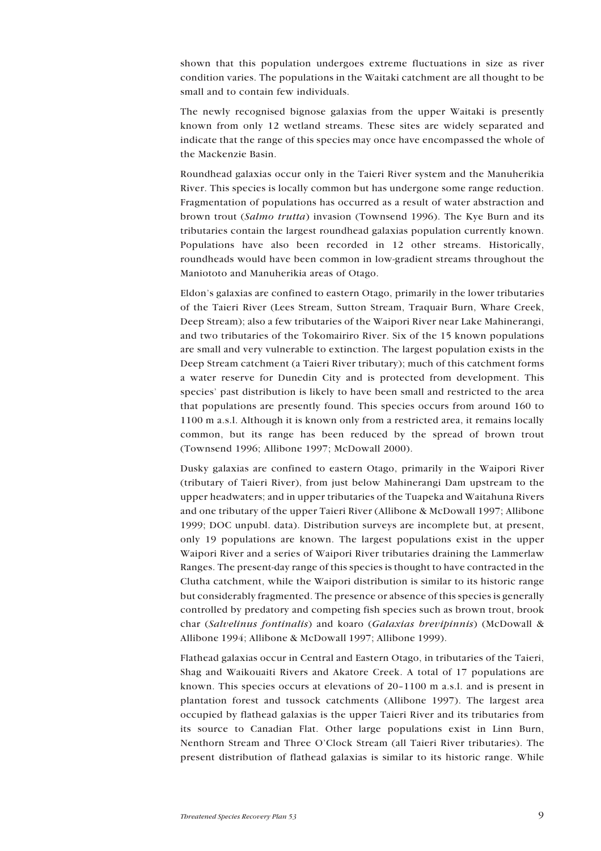shown that this population undergoes extreme fluctuations in size as river condition varies. The populations in the Waitaki catchment are all thought to be small and to contain few individuals.

The newly recognised bignose galaxias from the upper Waitaki is presently known from only 12 wetland streams. These sites are widely separated and indicate that the range of this species may once have encompassed the whole of the Mackenzie Basin.

Roundhead galaxias occur only in the Taieri River system and the Manuherikia River. This species is locally common but has undergone some range reduction. Fragmentation of populations has occurred as a result of water abstraction and brown trout (*Salmo trutta*) invasion (Townsend 1996). The Kye Burn and its tributaries contain the largest roundhead galaxias population currently known. Populations have also been recorded in 12 other streams. Historically, roundheads would have been common in low-gradient streams throughout the Maniototo and Manuherikia areas of Otago.

Eldonís galaxias are confined to eastern Otago, primarily in the lower tributaries of the Taieri River (Lees Stream, Sutton Stream, Traquair Burn, Whare Creek, Deep Stream); also a few tributaries of the Waipori River near Lake Mahinerangi, and two tributaries of the Tokomairiro River. Six of the 15 known populations are small and very vulnerable to extinction. The largest population exists in the Deep Stream catchment (a Taieri River tributary); much of this catchment forms a water reserve for Dunedin City and is protected from development. This species' past distribution is likely to have been small and restricted to the area that populations are presently found. This species occurs from around 160 to 1100 m a.s.l. Although it is known only from a restricted area, it remains locally common, but its range has been reduced by the spread of brown trout (Townsend 1996; Allibone 1997; McDowall 2000).

Dusky galaxias are confined to eastern Otago, primarily in the Waipori River (tributary of Taieri River), from just below Mahinerangi Dam upstream to the upper headwaters; and in upper tributaries of the Tuapeka and Waitahuna Rivers and one tributary of the upper Taieri River (Allibone & McDowall 1997; Allibone 1999; DOC unpubl. data). Distribution surveys are incomplete but, at present, only 19 populations are known. The largest populations exist in the upper Waipori River and a series of Waipori River tributaries draining the Lammerlaw Ranges. The present-day range of this species is thought to have contracted in the Clutha catchment, while the Waipori distribution is similar to its historic range but considerably fragmented. The presence or absence of this species is generally controlled by predatory and competing fish species such as brown trout, brook char (*Salvelinus fontinalis*) and koaro (*Galaxias brevipinnis*) (McDowall & Allibone 1994; Allibone & McDowall 1997; Allibone 1999).

Flathead galaxias occur in Central and Eastern Otago, in tributaries of the Taieri, Shag and Waikouaiti Rivers and Akatore Creek. A total of 17 populations are known. This species occurs at elevations of  $20-1100$  m a.s.l. and is present in plantation forest and tussock catchments (Allibone 1997). The largest area occupied by flathead galaxias is the upper Taieri River and its tributaries from its source to Canadian Flat. Other large populations exist in Linn Burn, Nenthorn Stream and Three O'Clock Stream (all Taieri River tributaries). The present distribution of flathead galaxias is similar to its historic range. While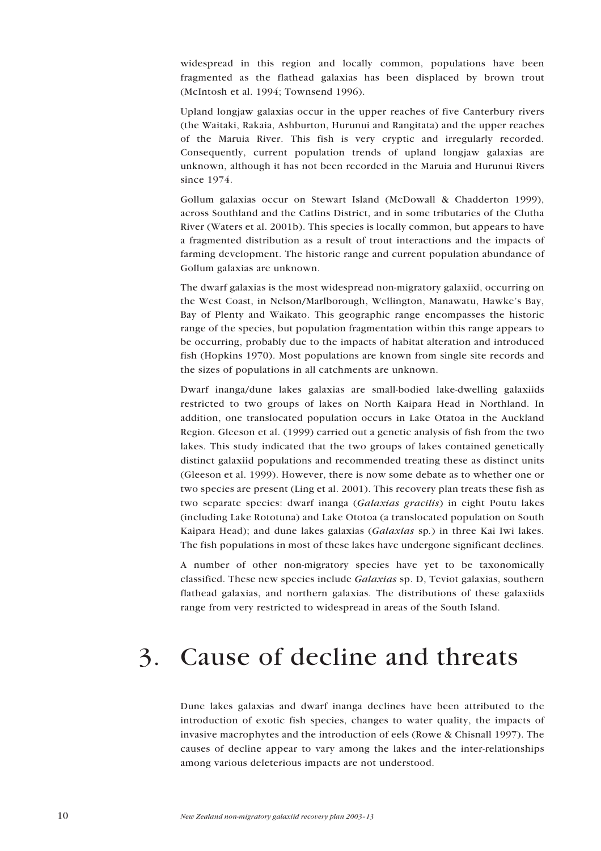<span id="page-9-0"></span>widespread in this region and locally common, populations have been fragmented as the flathead galaxias has been displaced by brown trout (McIntosh et al. 1994; Townsend 1996).

Upland longjaw galaxias occur in the upper reaches of five Canterbury rivers (the Waitaki, Rakaia, Ashburton, Hurunui and Rangitata) and the upper reaches of the Maruia River. This fish is very cryptic and irregularly recorded. Consequently, current population trends of upland longjaw galaxias are unknown, although it has not been recorded in the Maruia and Hurunui Rivers since 1974.

Gollum galaxias occur on Stewart Island (McDowall & Chadderton 1999), across Southland and the Catlins District, and in some tributaries of the Clutha River (Waters et al. 2001b). This species is locally common, but appears to have a fragmented distribution as a result of trout interactions and the impacts of farming development. The historic range and current population abundance of Gollum galaxias are unknown.

The dwarf galaxias is the most widespread non-migratory galaxiid, occurring on the West Coast, in Nelson/Marlborough, Wellington, Manawatu, Hawke's Bay, Bay of Plenty and Waikato. This geographic range encompasses the historic range of the species, but population fragmentation within this range appears to be occurring, probably due to the impacts of habitat alteration and introduced fish (Hopkins 1970). Most populations are known from single site records and the sizes of populations in all catchments are unknown.

Dwarf inanga/dune lakes galaxias are small-bodied lake-dwelling galaxiids restricted to two groups of lakes on North Kaipara Head in Northland. In addition, one translocated population occurs in Lake Otatoa in the Auckland Region. Gleeson et al. (1999) carried out a genetic analysis of fish from the two lakes. This study indicated that the two groups of lakes contained genetically distinct galaxiid populations and recommended treating these as distinct units (Gleeson et al. 1999). However, there is now some debate as to whether one or two species are present (Ling et al. 2001). This recovery plan treats these fish as two separate species: dwarf inanga (*Galaxias gracilis*) in eight Poutu lakes (including Lake Rototuna) and Lake Ototoa (a translocated population on South Kaipara Head); and dune lakes galaxias (*Galaxias* sp*.*) in three Kai Iwi lakes. The fish populations in most of these lakes have undergone significant declines.

A number of other non-migratory species have yet to be taxonomically classified. These new species include *Galaxias* sp. D, Teviot galaxias, southern flathead galaxias, and northern galaxias. The distributions of these galaxiids range from very restricted to widespread in areas of the South Island.

## 3. Cause of decline and threats

Dune lakes galaxias and dwarf inanga declines have been attributed to the introduction of exotic fish species, changes to water quality, the impacts of invasive macrophytes and the introduction of eels (Rowe & Chisnall 1997). The causes of decline appear to vary among the lakes and the inter-relationships among various deleterious impacts are not understood.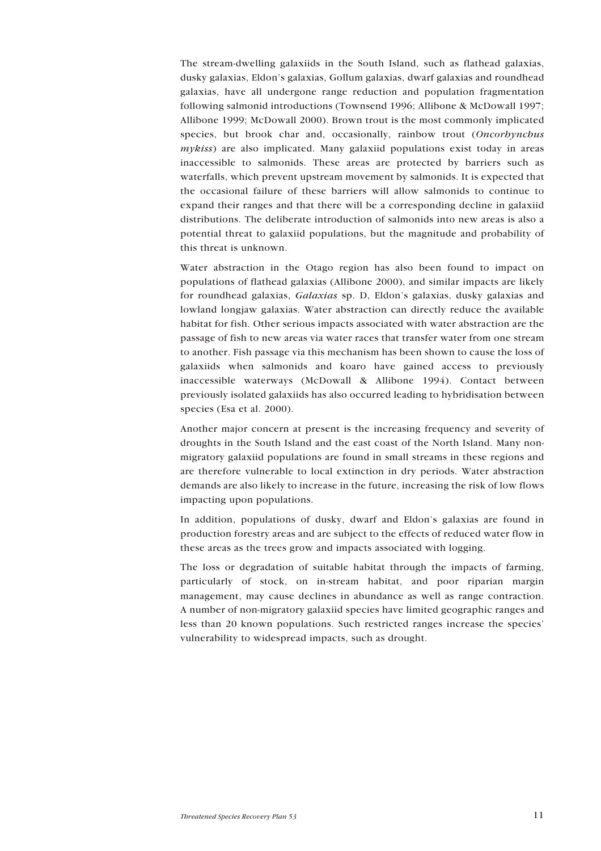<span id="page-10-0"></span>The stream-dwelling galaxiids in the South Island, such as flathead galaxias, dusky galaxias, Eldonís galaxias, Gollum galaxias, dwarf galaxias and roundhead galaxias, have all undergone range reduction and population fragmentation following salmonid introductions (Townsend 1996; Allibone & McDowall 1997; Allibone 1999; McDowall 2000). Brown trout is the most commonly implicated species, but brook char and, occasionally, rainbow trout (*Oncorhynchus mykiss*) are also implicated. Many galaxiid populations exist today in areas inaccessible to salmonids. These areas are protected by barriers such as waterfalls, which prevent upstream movement by salmonids. It is expected that the occasional failure of these barriers will allow salmonids to continue to expand their ranges and that there will be a corresponding decline in galaxiid distributions. The deliberate introduction of salmonids into new areas is also a potential threat to galaxiid populations, but the magnitude and probability of this threat is unknown.

Water abstraction in the Otago region has also been found to impact on populations of flathead galaxias (Allibone 2000), and similar impacts are likely for roundhead galaxias, *Galaxias* sp. D, Eldonís galaxias, dusky galaxias and lowland longjaw galaxias. Water abstraction can directly reduce the available habitat for fish. Other serious impacts associated with water abstraction are the passage of fish to new areas via water races that transfer water from one stream to another. Fish passage via this mechanism has been shown to cause the loss of galaxiids when salmonids and koaro have gained access to previously inaccessible waterways (McDowall & Allibone 1994). Contact between previously isolated galaxiids has also occurred leading to hybridisation between species (Esa et al. 2000).

Another major concern at present is the increasing frequency and severity of droughts in the South Island and the east coast of the North Island. Many nonmigratory galaxiid populations are found in small streams in these regions and are therefore vulnerable to local extinction in dry periods. Water abstraction demands are also likely to increase in the future, increasing the risk of low flows impacting upon populations.

In addition, populations of dusky, dwarf and Eldon's galaxias are found in production forestry areas and are subject to the effects of reduced water flow in these areas as the trees grow and impacts associated with logging.

The loss or degradation of suitable habitat through the impacts of farming, particularly of stock, on in-stream habitat, and poor riparian margin management, may cause declines in abundance as well as range contraction. A number of non-migratory galaxiid species have limited geographic ranges and less than 20 known populations. Such restricted ranges increase the species' vulnerability to widespread impacts, such as drought.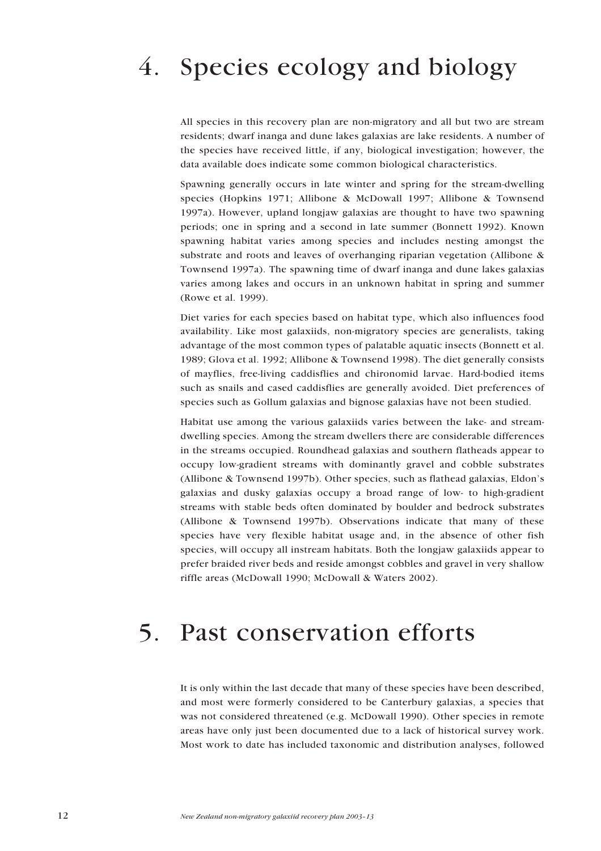# <span id="page-11-0"></span>4. Species ecology and biology

All species in this recovery plan are non-migratory and all but two are stream residents; dwarf inanga and dune lakes galaxias are lake residents. A number of the species have received little, if any, biological investigation; however, the data available does indicate some common biological characteristics.

Spawning generally occurs in late winter and spring for the stream-dwelling species (Hopkins 1971; Allibone & McDowall 1997; Allibone & Townsend 1997a). However, upland longjaw galaxias are thought to have two spawning periods; one in spring and a second in late summer (Bonnett 1992). Known spawning habitat varies among species and includes nesting amongst the substrate and roots and leaves of overhanging riparian vegetation (Allibone & Townsend 1997a). The spawning time of dwarf inanga and dune lakes galaxias varies among lakes and occurs in an unknown habitat in spring and summer (Rowe et al. 1999).

Diet varies for each species based on habitat type, which also influences food availability. Like most galaxiids, non-migratory species are generalists, taking advantage of the most common types of palatable aquatic insects (Bonnett et al. 1989; Glova et al. 1992; Allibone & Townsend 1998). The diet generally consists of mayflies, free-living caddisflies and chironomid larvae. Hard-bodied items such as snails and cased caddisflies are generally avoided. Diet preferences of species such as Gollum galaxias and bignose galaxias have not been studied.

Habitat use among the various galaxiids varies between the lake- and streamdwelling species. Among the stream dwellers there are considerable differences in the streams occupied. Roundhead galaxias and southern flatheads appear to occupy low-gradient streams with dominantly gravel and cobble substrates (Allibone & Townsend 1997b). Other species, such as flathead galaxias, Eldonís galaxias and dusky galaxias occupy a broad range of low- to high-gradient streams with stable beds often dominated by boulder and bedrock substrates (Allibone & Townsend 1997b). Observations indicate that many of these species have very flexible habitat usage and, in the absence of other fish species, will occupy all instream habitats. Both the longjaw galaxiids appear to prefer braided river beds and reside amongst cobbles and gravel in very shallow riffle areas (McDowall 1990; McDowall & Waters 2002).

## 5. Past conservation efforts

It is only within the last decade that many of these species have been described, and most were formerly considered to be Canterbury galaxias, a species that was not considered threatened (e.g. McDowall 1990). Other species in remote areas have only just been documented due to a lack of historical survey work. Most work to date has included taxonomic and distribution analyses, followed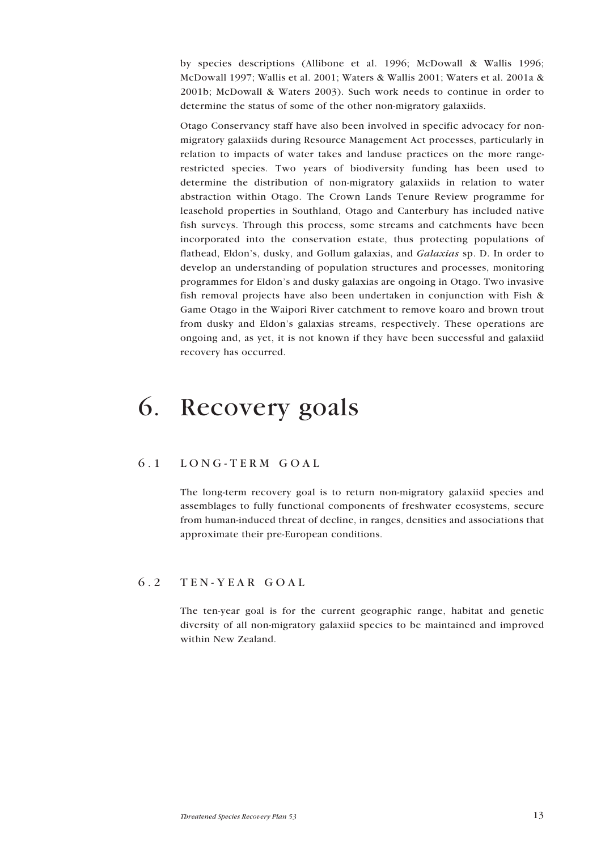<span id="page-12-0"></span>by species descriptions (Allibone et al. 1996; McDowall & Wallis 1996; McDowall 1997; Wallis et al. 2001; Waters & Wallis 2001; Waters et al. 2001a & 2001b; McDowall & Waters 2003). Such work needs to continue in order to determine the status of some of the other non-migratory galaxiids.

Otago Conservancy staff have also been involved in specific advocacy for nonmigratory galaxiids during Resource Management Act processes, particularly in relation to impacts of water takes and landuse practices on the more rangerestricted species. Two years of biodiversity funding has been used to determine the distribution of non-migratory galaxiids in relation to water abstraction within Otago. The Crown Lands Tenure Review programme for leasehold properties in Southland, Otago and Canterbury has included native fish surveys. Through this process, some streams and catchments have been incorporated into the conservation estate, thus protecting populations of flathead, Eldonís, dusky, and Gollum galaxias, and *Galaxias* sp. D. In order to develop an understanding of population structures and processes, monitoring programmes for Eldon's and dusky galaxias are ongoing in Otago. Two invasive fish removal projects have also been undertaken in conjunction with Fish & Game Otago in the Waipori River catchment to remove koaro and brown trout from dusky and Eldon's galaxias streams, respectively. These operations are ongoing and, as yet, it is not known if they have been successful and galaxiid recovery has occurred.

## 6. Recovery goals

## 6.1 LONG-TERM GOAL

The long-term recovery goal is to return non-migratory galaxiid species and assemblages to fully functional components of freshwater ecosystems, secure from human-induced threat of decline, in ranges, densities and associations that approximate their pre-European conditions.

## 6.2 TEN-YEAR GOAL

The ten-year goal is for the current geographic range, habitat and genetic diversity of all non-migratory galaxiid species to be maintained and improved within New Zealand.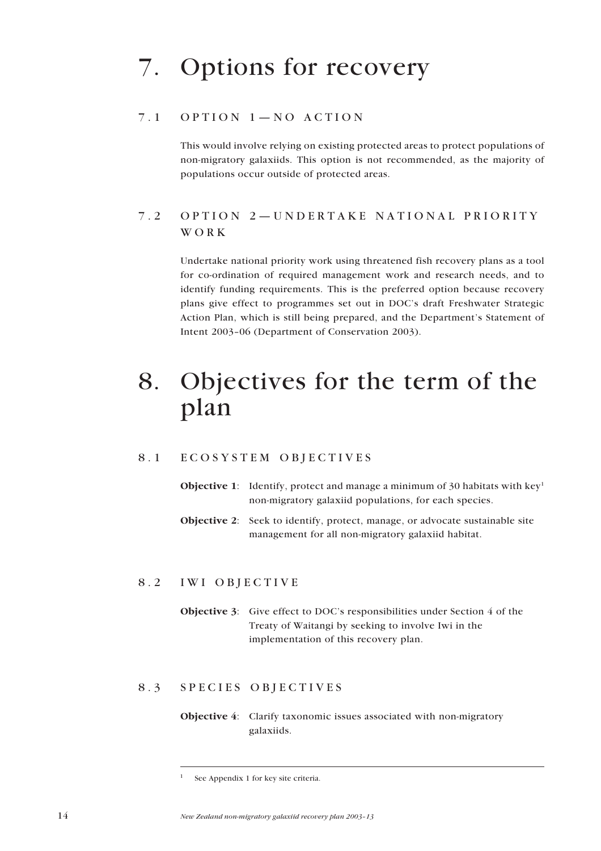# <span id="page-13-0"></span>7. Options for recovery

## $7.1$  OPTION  $1-NO$  ACTION

This would involve relying on existing protected areas to protect populations of non-migratory galaxiids. This option is not recommended, as the majority of populations occur outside of protected areas.

## 7.2 OPTION 2-UNDERTAKE NATIONAL PRIORITY WORK

Undertake national priority work using threatened fish recovery plans as a tool for co-ordination of required management work and research needs, and to identify funding requirements. This is the preferred option because recovery plans give effect to programmes set out in DOC's draft Freshwater Strategic Action Plan, which is still being prepared, and the Department's Statement of Intent 2003-06 (Department of Conservation 2003).

## 8. Objectives for the term of the plan

## 8.1 ECOSYSTEM OBJECTIVES

- **Objective 1:** Identify, protect and manage a minimum of 30 habitats with  $key<sup>1</sup>$ non-migratory galaxiid populations, for each species.
- **Objective 2**: Seek to identify, protect, manage, or advocate sustainable site management for all non-migratory galaxiid habitat.

## 8.2 IWI OBJECTIVE

**Objective 3:** Give effect to DOC's responsibilities under Section 4 of the Treaty of Waitangi by seeking to involve Iwi in the implementation of this recovery plan.

## 8.3 SPECIES OBJECTIVES

**Objective 4**: Clarify taxonomic issues associated with non-migratory galaxiids.

<sup>1</sup> See Appendix 1 for key site criteria.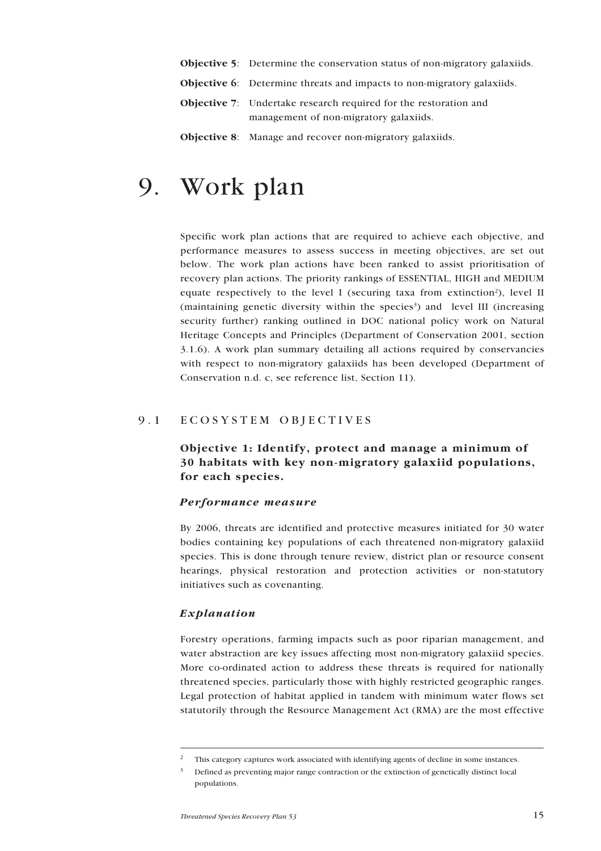- <span id="page-14-0"></span>**Objective 5:** Determine the conservation status of non-migratory galaxiids.
- **Objective 6**: Determine threats and impacts to non-migratory galaxiids.
- **Objective 7**: Undertake research required for the restoration and management of non-migratory galaxiids.
- **Objective 8**: Manage and recover non-migratory galaxiids.

## 9. Work plan

Specific work plan actions that are required to achieve each objective, and performance measures to assess success in meeting objectives, are set out below. The work plan actions have been ranked to assist prioritisation of recovery plan actions. The priority rankings of ESSENTIAL, HIGH and MEDIUM equate respectively to the level I (securing taxa from extinction<sup>2</sup>), level II (maintaining genetic diversity within the species<sup>3</sup>) and level III (increasing security further) ranking outlined in DOC national policy work on Natural Heritage Concepts and Principles (Department of Conservation 2001, section 3.1.6). A work plan summary detailing all actions required by conservancies with respect to non-migratory galaxiids has been developed (Department of Conservation n.d. c, see reference list, Section 11).

## 9.1 ECOSYSTEM OBJECTIVES

## **Objective 1: Identify, protect and manage a minimum of 30 habitats with key non-migratory galaxiid populations, for each species.**

## *Performance measure*

By 2006, threats are identified and protective measures initiated for 30 water bodies containing key populations of each threatened non-migratory galaxiid species. This is done through tenure review, district plan or resource consent hearings, physical restoration and protection activities or non-statutory initiatives such as covenanting.

## *Explanation*

Forestry operations, farming impacts such as poor riparian management, and water abstraction are key issues affecting most non-migratory galaxiid species. More co-ordinated action to address these threats is required for nationally threatened species, particularly those with highly restricted geographic ranges. Legal protection of habitat applied in tandem with minimum water flows set statutorily through the Resource Management Act (RMA) are the most effective

<sup>2</sup> This category captures work associated with identifying agents of decline in some instances.

<sup>3</sup> Defined as preventing major range contraction or the extinction of genetically distinct local populations.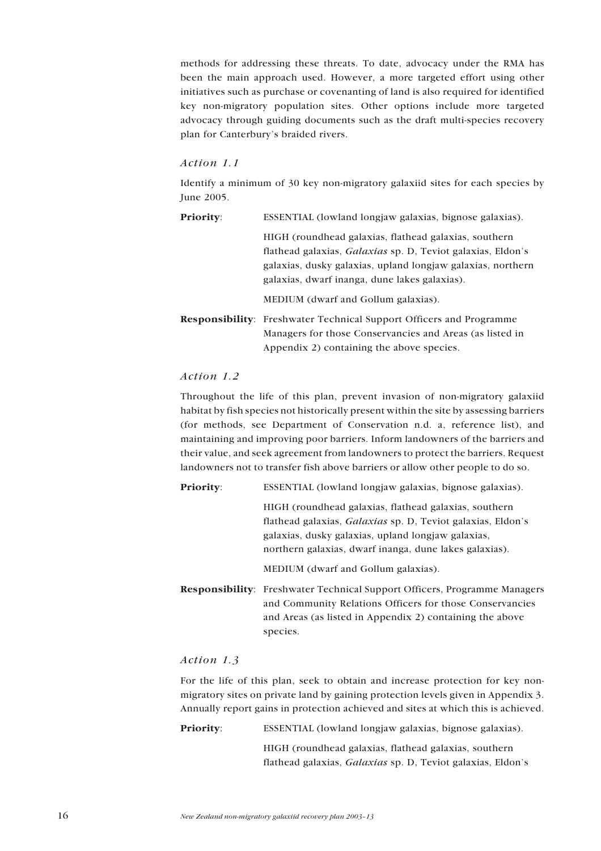methods for addressing these threats. To date, advocacy under the RMA has been the main approach used. However, a more targeted effort using other initiatives such as purchase or covenanting of land is also required for identified key non-migratory population sites. Other options include more targeted advocacy through guiding documents such as the draft multi-species recovery plan for Canterbury's braided rivers.

## *Action 1.1*

Identify a minimum of 30 key non-migratory galaxiid sites for each species by June 2005.

| <b>Priority:</b> | ESSENTIAL (lowland longjaw galaxias, bignose galaxias).                                                                                                                                                                                     |  |  |  |  |  |
|------------------|---------------------------------------------------------------------------------------------------------------------------------------------------------------------------------------------------------------------------------------------|--|--|--|--|--|
|                  | HIGH (roundhead galaxias, flathead galaxias, southern<br>flathead galaxias, <i>Galaxias</i> sp. D, Teviot galaxias, Eldon's<br>galaxias, dusky galaxias, upland longjaw galaxias, northern<br>galaxias, dwarf inanga, dune lakes galaxias). |  |  |  |  |  |
|                  | MEDIUM (dwarf and Gollum galaxias).                                                                                                                                                                                                         |  |  |  |  |  |
|                  | <b>Responsibility:</b> Freshwater Technical Support Officers and Programme<br>Managers for those Conservancies and Areas (as listed in<br>Appendix 2) containing the above species.                                                         |  |  |  |  |  |

## *Action 1.2*

Throughout the life of this plan, prevent invasion of non-migratory galaxiid habitat by fish species not historically present within the site by assessing barriers (for methods, see Department of Conservation n.d. a, reference list), and maintaining and improving poor barriers. Inform landowners of the barriers and their value, and seek agreement from landowners to protect the barriers. Request landowners not to transfer fish above barriers or allow other people to do so.

**Priority:** ESSENTIAL (lowland longjaw galaxias, bignose galaxias).

| HIGH (roundhead galaxias, flathead galaxias, southern              |  |  |  |  |
|--------------------------------------------------------------------|--|--|--|--|
| flathead galaxias, <i>Galaxias</i> sp. D. Teviot galaxias, Eldon's |  |  |  |  |
| galaxias, dusky galaxias, upland longjaw galaxias,                 |  |  |  |  |
| northern galaxias, dwarf inanga, dune lakes galaxias).             |  |  |  |  |

MEDIUM (dwarf and Gollum galaxias).

**Responsibility**: Freshwater Technical Support Officers, Programme Managers and Community Relations Officers for those Conservancies and Areas (as listed in Appendix 2) containing the above species.

## *Action 1.3*

For the life of this plan, seek to obtain and increase protection for key nonmigratory sites on private land by gaining protection levels given in Appendix 3. Annually report gains in protection achieved and sites at which this is achieved.

**Priority:** ESSENTIAL (lowland longjaw galaxias, bignose galaxias).

HIGH (roundhead galaxias, flathead galaxias, southern flathead galaxias, *Galaxias* sp. D, Teviot galaxias, Eldon's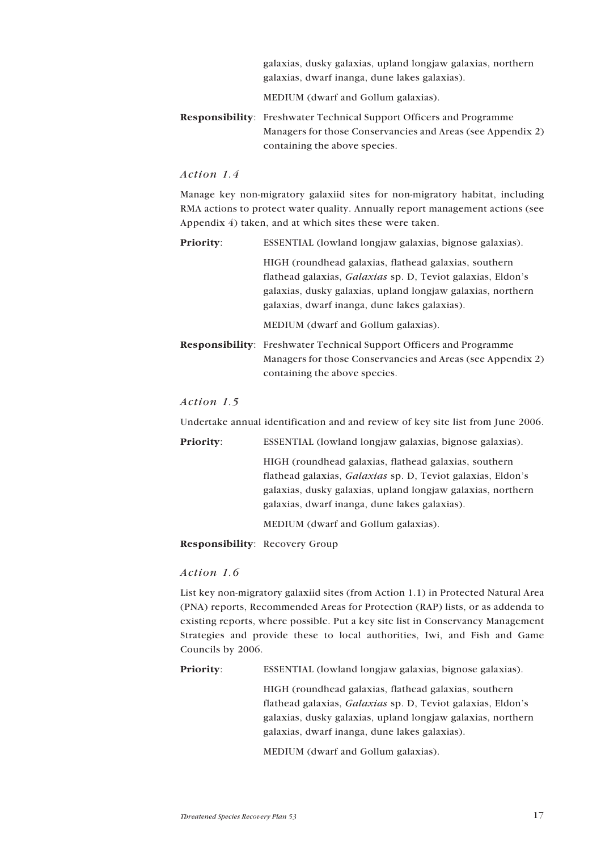| galaxias, dusky galaxias, upland longjaw galaxias, northern |
|-------------------------------------------------------------|
| galaxias, dwarf inanga, dune lakes galaxias).               |

MEDIUM (dwarf and Gollum galaxias).

**Responsibility**: Freshwater Technical Support Officers and Programme Managers for those Conservancies and Areas (see Appendix 2) containing the above species.

## *Action 1.4*

Manage key non-migratory galaxiid sites for non-migratory habitat, including RMA actions to protect water quality. Annually report management actions (see Appendix 4) taken, and at which sites these were taken.

| <b>Priority:</b> | ESSENTIAL (lowland longjaw galaxias, bignose galaxias).                    |  |  |  |  |  |
|------------------|----------------------------------------------------------------------------|--|--|--|--|--|
|                  | HIGH (roundhead galaxias, flathead galaxias, southern                      |  |  |  |  |  |
|                  | flathead galaxias, <i>Galaxias</i> sp. D, Teviot galaxias, Eldon's         |  |  |  |  |  |
|                  | galaxias, dusky galaxias, upland longjaw galaxias, northern                |  |  |  |  |  |
|                  | galaxias, dwarf inanga, dune lakes galaxias).                              |  |  |  |  |  |
|                  | MEDIUM (dwarf and Gollum galaxias).                                        |  |  |  |  |  |
|                  | <b>Responsibility:</b> Freshwater Technical Support Officers and Programme |  |  |  |  |  |
|                  | Managers for those Conservancies and Areas (see Appendix 2)                |  |  |  |  |  |

#### *Action 1.5*

Undertake annual identification and and review of key site list from June 2006.

containing the above species.

| <b>Priority:</b> | ESSENTIAL (lowland longiaw galaxias, bignose galaxias).            |  |  |  |  |  |
|------------------|--------------------------------------------------------------------|--|--|--|--|--|
|                  | HIGH (roundhead galaxias, flathead galaxias, southern              |  |  |  |  |  |
|                  | flathead galaxias, <i>Galaxias</i> sp. D, Teviot galaxias, Eldon's |  |  |  |  |  |
|                  | galaxias, dusky galaxias, upland longjaw galaxias, northern        |  |  |  |  |  |
|                  | galaxias, dwarf inanga, dune lakes galaxias).                      |  |  |  |  |  |
|                  | $\frac{1}{2}$                                                      |  |  |  |  |  |

MEDIUM (dwarf and Gollum galaxias).

**Responsibility**: Recovery Group

## *Action 1.6*

List key non-migratory galaxiid sites (from Action 1.1) in Protected Natural Area (PNA) reports, Recommended Areas for Protection (RAP) lists, or as addenda to existing reports, where possible. Put a key site list in Conservancy Management Strategies and provide these to local authorities, Iwi, and Fish and Game Councils by 2006.

**Priority:** ESSENTIAL (lowland longjaw galaxias, bignose galaxias).

HIGH (roundhead galaxias, flathead galaxias, southern flathead galaxias, *Galaxias* sp. D, Teviot galaxias, Eldon's galaxias, dusky galaxias, upland longjaw galaxias, northern galaxias, dwarf inanga, dune lakes galaxias).

MEDIUM (dwarf and Gollum galaxias).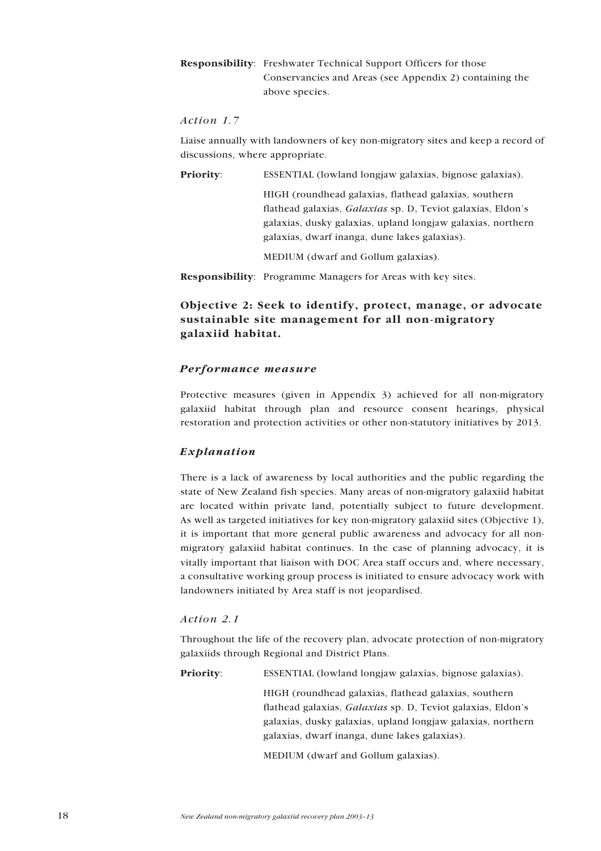## <span id="page-17-0"></span>**Responsibility**: Freshwater Technical Support Officers for those Conservancies and Areas (see Appendix 2) containing the above species.

## *Action 1.7*

Liaise annually with landowners of key non-migratory sites and keep a record of discussions, where appropriate.

**Priority:** ESSENTIAL (lowland longjaw galaxias, bignose galaxias).

HIGH (roundhead galaxias, flathead galaxias, southern flathead galaxias, *Galaxias* sp. D, Teviot galaxias, Eldon's galaxias, dusky galaxias, upland longjaw galaxias, northern galaxias, dwarf inanga, dune lakes galaxias).

MEDIUM (dwarf and Gollum galaxias).

**Responsibility**: Programme Managers for Areas with key sites.

## **Objective 2: Seek to identify, protect, manage, or advocate sustainable site management for all non-migratory galaxiid habitat.**

## *Performance measure*

Protective measures (given in Appendix 3) achieved for all non-migratory galaxiid habitat through plan and resource consent hearings, physical restoration and protection activities or other non-statutory initiatives by 2013.

## *Explanation*

There is a lack of awareness by local authorities and the public regarding the state of New Zealand fish species. Many areas of non-migratory galaxiid habitat are located within private land, potentially subject to future development. As well as targeted initiatives for key non-migratory galaxiid sites (Objective 1), it is important that more general public awareness and advocacy for all nonmigratory galaxiid habitat continues. In the case of planning advocacy, it is vitally important that liaison with DOC Area staff occurs and, where necessary, a consultative working group process is initiated to ensure advocacy work with landowners initiated by Area staff is not jeopardised.

## *Action 2.1*

Throughout the life of the recovery plan, advocate protection of non-migratory galaxiids through Regional and District Plans.

**Priority:** ESSENTIAL (lowland longjaw galaxias, bignose galaxias).

HIGH (roundhead galaxias, flathead galaxias, southern flathead galaxias, *Galaxias* sp. D, Teviot galaxias, Eldon's galaxias, dusky galaxias, upland longjaw galaxias, northern galaxias, dwarf inanga, dune lakes galaxias).

MEDIUM (dwarf and Gollum galaxias).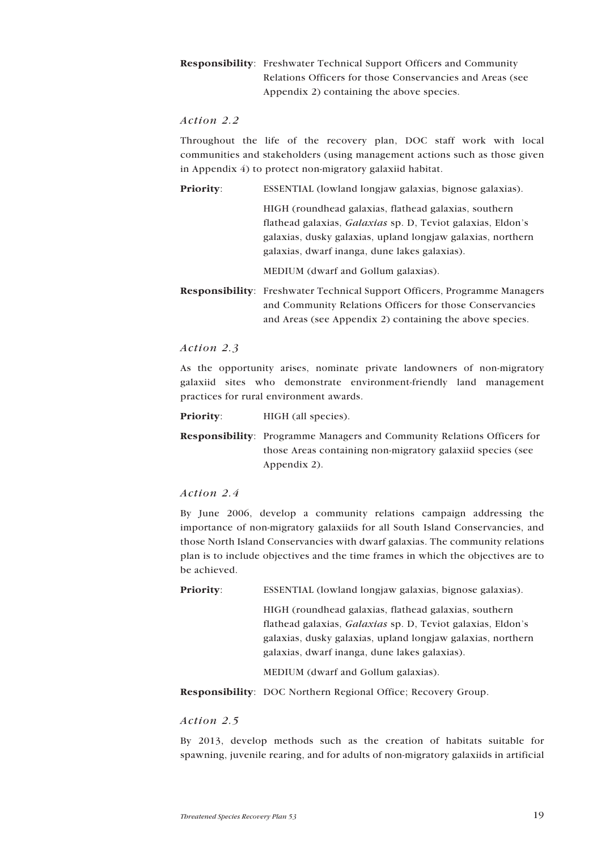## **Responsibility**: Freshwater Technical Support Officers and Community Relations Officers for those Conservancies and Areas (see Appendix 2) containing the above species.

## *Action 2.2*

Throughout the life of the recovery plan, DOC staff work with local communities and stakeholders (using management actions such as those given in Appendix 4) to protect non-migratory galaxiid habitat.

**Priority:** ESSENTIAL (lowland longjaw galaxias, bignose galaxias).

HIGH (roundhead galaxias, flathead galaxias, southern flathead galaxias, *Galaxias* sp. D, Teviot galaxias, Eldon's galaxias, dusky galaxias, upland longjaw galaxias, northern galaxias, dwarf inanga, dune lakes galaxias).

MEDIUM (dwarf and Gollum galaxias).

**Responsibility**: Freshwater Technical Support Officers, Programme Managers and Community Relations Officers for those Conservancies and Areas (see Appendix 2) containing the above species.

#### *Action 2.3*

As the opportunity arises, nominate private landowners of non-migratory galaxiid sites who demonstrate environment-friendly land management practices for rural environment awards.

**Priority:** HIGH (all species).

**Responsibility**: Programme Managers and Community Relations Officers for those Areas containing non-migratory galaxiid species (see Appendix 2).

*Action 2.4*

By June 2006, develop a community relations campaign addressing the importance of non-migratory galaxiids for all South Island Conservancies, and those North Island Conservancies with dwarf galaxias. The community relations plan is to include objectives and the time frames in which the objectives are to be achieved.

**Priority:** ESSENTIAL (lowland longjaw galaxias, bignose galaxias).

HIGH (roundhead galaxias, flathead galaxias, southern flathead galaxias, *Galaxias* sp. D, Teviot galaxias, Eldon's galaxias, dusky galaxias, upland longjaw galaxias, northern galaxias, dwarf inanga, dune lakes galaxias).

MEDIUM (dwarf and Gollum galaxias).

**Responsibility**: DOC Northern Regional Office; Recovery Group.

#### *Action 2.5*

By 2013, develop methods such as the creation of habitats suitable for spawning, juvenile rearing, and for adults of non-migratory galaxiids in artificial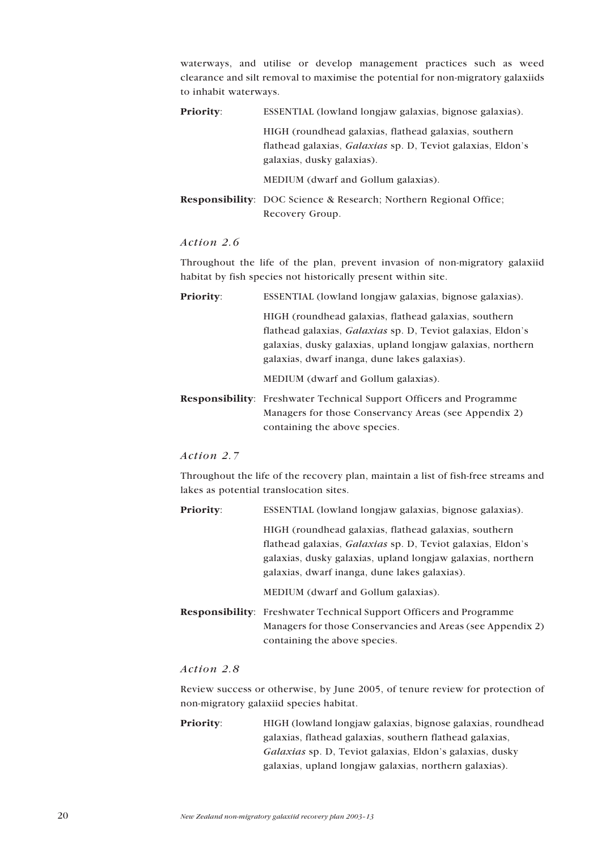waterways, and utilise or develop management practices such as weed clearance and silt removal to maximise the potential for non-migratory galaxiids to inhabit waterways.

| <b>Priority:</b> | ESSENTIAL (lowland longiaw galaxias, bignose galaxias).                                                                                            |  |  |  |  |  |
|------------------|----------------------------------------------------------------------------------------------------------------------------------------------------|--|--|--|--|--|
|                  | HIGH (roundhead galaxias, flathead galaxias, southern<br>flathead galaxias, Galaxias sp. D, Teviot galaxias, Eldon's<br>galaxias, dusky galaxias). |  |  |  |  |  |
|                  | MEDIUM (dwarf and Gollum galaxias).                                                                                                                |  |  |  |  |  |
|                  | <b>Responsibility:</b> DOC Science & Research; Northern Regional Office;                                                                           |  |  |  |  |  |
|                  | Recovery Group.                                                                                                                                    |  |  |  |  |  |

#### *Action 2.6*

Throughout the life of the plan, prevent invasion of non-migratory galaxiid habitat by fish species not historically present within site.

**Priority:** ESSENTIAL (lowland longjaw galaxias, bignose galaxias).

HIGH (roundhead galaxias, flathead galaxias, southern flathead galaxias, *Galaxias* sp. D, Teviot galaxias, Eldon's galaxias, dusky galaxias, upland longjaw galaxias, northern galaxias, dwarf inanga, dune lakes galaxias).

MEDIUM (dwarf and Gollum galaxias).

**Responsibility**: Freshwater Technical Support Officers and Programme Managers for those Conservancy Areas (see Appendix 2) containing the above species.

## *Action 2.7*

Throughout the life of the recovery plan, maintain a list of fish-free streams and lakes as potential translocation sites.

**Priority:** ESSENTIAL (lowland longjaw galaxias, bignose galaxias). HIGH (roundhead galaxias, flathead galaxias, southern

flathead galaxias, *Galaxias* sp. D, Teviot galaxias, Eldon's galaxias, dusky galaxias, upland longjaw galaxias, northern galaxias, dwarf inanga, dune lakes galaxias).

MEDIUM (dwarf and Gollum galaxias).

**Responsibility**: Freshwater Technical Support Officers and Programme Managers for those Conservancies and Areas (see Appendix 2) containing the above species.

## *Action 2.8*

Review success or otherwise, by June 2005, of tenure review for protection of non-migratory galaxiid species habitat.

**Priority:** HIGH (lowland longjaw galaxias, bignose galaxias, roundhead galaxias, flathead galaxias, southern flathead galaxias, Galaxias sp. D, Teviot galaxias, Eldon's galaxias, dusky galaxias, upland longjaw galaxias, northern galaxias).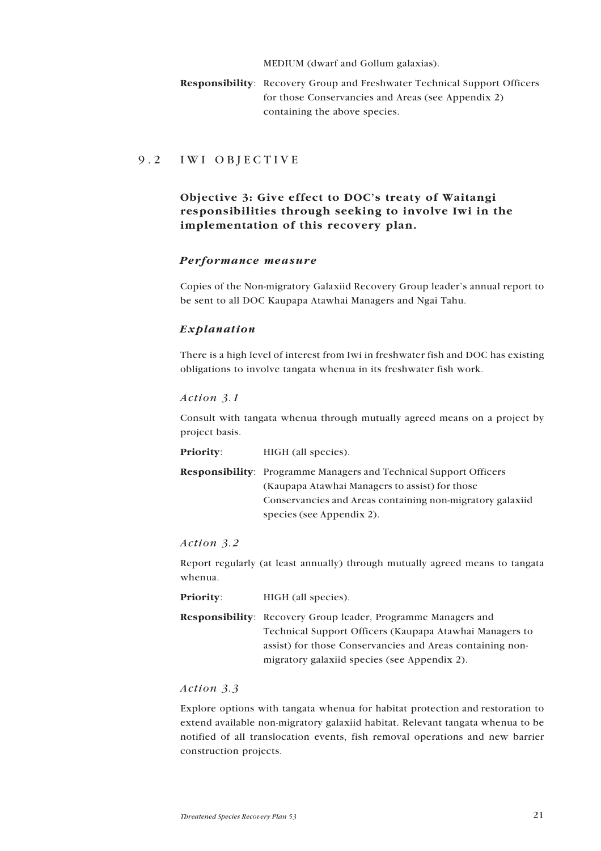MEDIUM (dwarf and Gollum galaxias).

<span id="page-20-0"></span>**Responsibility**: Recovery Group and Freshwater Technical Support Officers for those Conservancies and Areas (see Appendix 2) containing the above species.

## 9.2 IWI OBJECTIVE

## **Objective 3: Give effect to DOC's treaty of Waitangi responsibilities through seeking to involve Iwi in the implementation of this recovery plan.**

## *Performance measure*

Copies of the Non-migratory Galaxiid Recovery Group leader's annual report to be sent to all DOC Kaupapa Atawhai Managers and Ngai Tahu.

## *Explanation*

There is a high level of interest from Iwi in freshwater fish and DOC has existing obligations to involve tangata whenua in its freshwater fish work.

## *Action 3.1*

Consult with tangata whenua through mutually agreed means on a project by project basis.

**Priority:** HIGH (all species).

**Responsibility**: Programme Managers and Technical Support Officers (Kaupapa Atawhai Managers to assist) for those Conservancies and Areas containing non-migratory galaxiid species (see Appendix 2).

## *Action 3.2*

Report regularly (at least annually) through mutually agreed means to tangata whenua.

**Priority:** HIGH (all species).

**Responsibility**: Recovery Group leader, Programme Managers and Technical Support Officers (Kaupapa Atawhai Managers to assist) for those Conservancies and Areas containing nonmigratory galaxiid species (see Appendix 2).

## *Action 3.3*

Explore options with tangata whenua for habitat protection and restoration to extend available non-migratory galaxiid habitat. Relevant tangata whenua to be notified of all translocation events, fish removal operations and new barrier construction projects.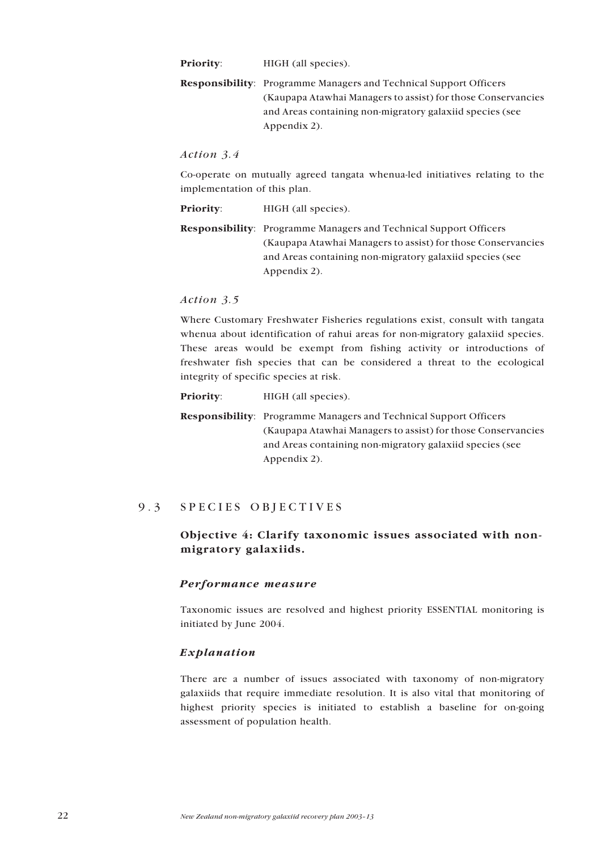<span id="page-21-0"></span>**Priority:** HIGH (all species).

**Responsibility**: Programme Managers and Technical Support Officers (Kaupapa Atawhai Managers to assist) for those Conservancies and Areas containing non-migratory galaxiid species (see Appendix 2).

#### *Action 3.4*

Co-operate on mutually agreed tangata whenua-led initiatives relating to the implementation of this plan.

**Priority:** HIGH (all species).

**Responsibility**: Programme Managers and Technical Support Officers (Kaupapa Atawhai Managers to assist) for those Conservancies and Areas containing non-migratory galaxiid species (see Appendix 2).

#### *Action 3.5*

Where Customary Freshwater Fisheries regulations exist, consult with tangata whenua about identification of rahui areas for non-migratory galaxiid species. These areas would be exempt from fishing activity or introductions of freshwater fish species that can be considered a threat to the ecological integrity of specific species at risk.

**Priority:** HIGH (all species).

**Responsibility**: Programme Managers and Technical Support Officers (Kaupapa Atawhai Managers to assist) for those Conservancies and Areas containing non-migratory galaxiid species (see Appendix 2).

## 9.3 SPECIES OBJECTIVES

## **Objective 4: Clarify taxonomic issues associated with nonmigratory galaxiids.**

#### *Performance measure*

Taxonomic issues are resolved and highest priority ESSENTIAL monitoring is initiated by June 2004.

### *Explanation*

There are a number of issues associated with taxonomy of non-migratory galaxiids that require immediate resolution. It is also vital that monitoring of highest priority species is initiated to establish a baseline for on-going assessment of population health.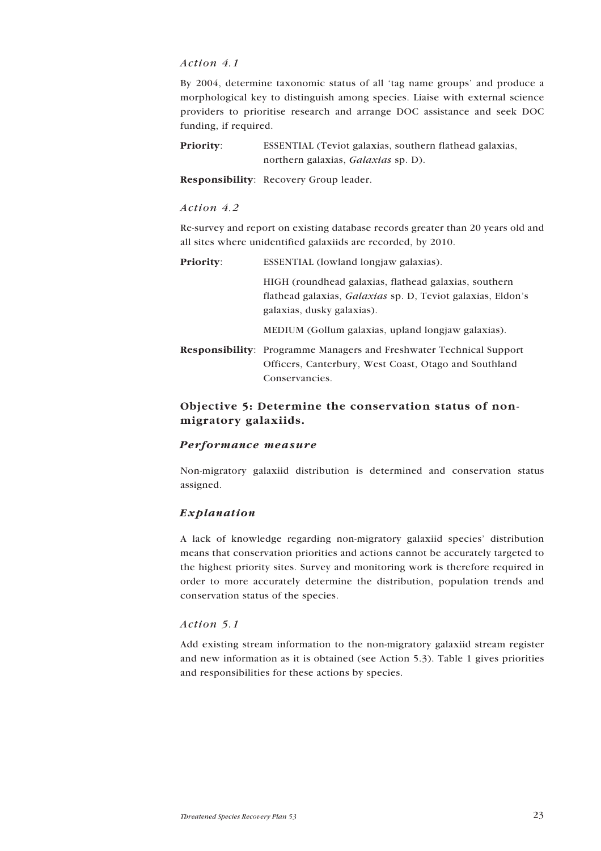## <span id="page-22-0"></span>*Action 4.1*

By 2004, determine taxonomic status of all 'tag name groups' and produce a morphological key to distinguish among species. Liaise with external science providers to prioritise research and arrange DOC assistance and seek DOC funding, if required.

**Priority:** ESSENTIAL (Teviot galaxias, southern flathead galaxias, northern galaxias, *Galaxias* sp. D).

**Responsibility**: Recovery Group leader.

#### *Action 4.2*

Re-survey and report on existing database records greater than 20 years old and all sites where unidentified galaxiids are recorded, by 2010.

| <b>Priority</b> : | ESSENTIAL (lowland longiaw galaxias).                                                                                                              |  |  |  |  |  |
|-------------------|----------------------------------------------------------------------------------------------------------------------------------------------------|--|--|--|--|--|
|                   | HIGH (roundhead galaxias, flathead galaxias, southern<br>flathead galaxias, Galaxias sp. D, Teviot galaxias, Eldon's<br>galaxias, dusky galaxias). |  |  |  |  |  |
|                   | MEDIUM (Gollum galaxias, upland longjaw galaxias).                                                                                                 |  |  |  |  |  |
|                   | <b>Responsibility</b> : Programme Managers and Freshwater Technical Support<br>Officers, Canterbury, West Coast, Otago and Southland               |  |  |  |  |  |

## **Objective 5: Determine the conservation status of nonmigratory galaxiids.**

Conservancies.

## *Performance measure*

Non-migratory galaxiid distribution is determined and conservation status assigned.

## *Explanation*

A lack of knowledge regarding non-migratory galaxiid species' distribution means that conservation priorities and actions cannot be accurately targeted to the highest priority sites. Survey and monitoring work is therefore required in order to more accurately determine the distribution, population trends and conservation status of the species.

## *Action 5.1*

Add existing stream information to the non-migratory galaxiid stream register and new information as it is obtained (see Action 5.3). Table 1 gives priorities and responsibilities for these actions by species.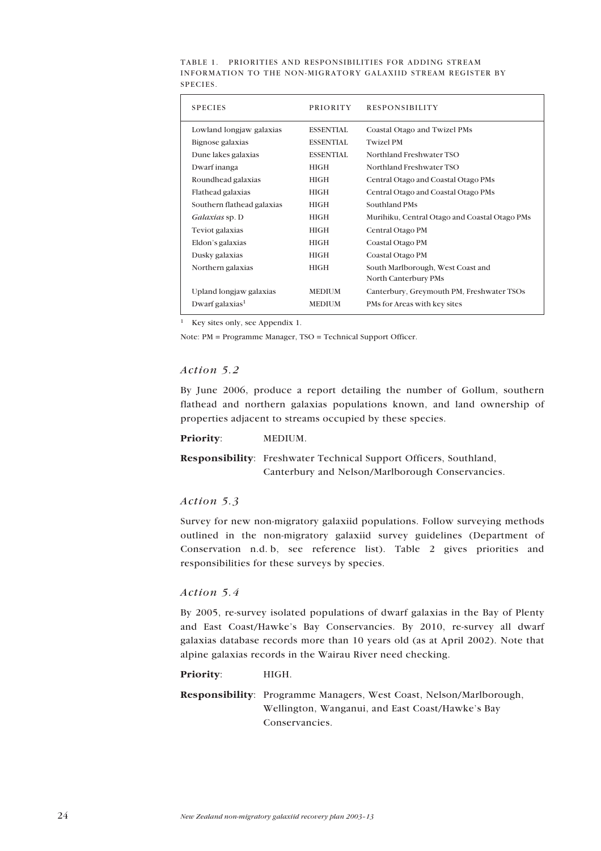| <b>SPECIES</b>              | <b>PRIORITY</b>  | <b>RESPONSIBILITY</b>                         |
|-----------------------------|------------------|-----------------------------------------------|
| Lowland longjaw galaxias    | <b>ESSENTIAL</b> | Coastal Otago and Twizel PMs                  |
| Bignose galaxias            | <b>ESSENTIAL</b> | <b>Twizel PM</b>                              |
| Dune lakes galaxias         | <b>ESSENTIAL</b> | Northland Freshwater TSO                      |
| Dwarf inanga                | <b>HIGH</b>      | Northland Freshwater TSO                      |
| Roundhead galaxias          | <b>HIGH</b>      | Central Otago and Coastal Otago PMs           |
| Flathead galaxias           | <b>HIGH</b>      | Central Otago and Coastal Otago PMs           |
| Southern flathead galaxias  | <b>HIGH</b>      | Southland PMs                                 |
| Galaxias sp. D              | <b>HIGH</b>      | Murihiku, Central Otago and Coastal Otago PMs |
| Teviot galaxias             | <b>HIGH</b>      | Central Otago PM                              |
| Eldon's galaxias            | <b>HIGH</b>      | Coastal Otago PM                              |
| Dusky galaxias              | <b>HIGH</b>      | Coastal Otago PM                              |
| Northern galaxias           | <b>HIGH</b>      | South Marlborough, West Coast and             |
|                             |                  | North Canterbury PMs                          |
| Upland longjaw galaxias     | <b>MEDIUM</b>    | Canterbury, Greymouth PM, Freshwater TSOs     |
| Dwarf galaxias <sup>1</sup> | <b>MEDIUM</b>    | PMs for Areas with key sites                  |

TABLE 1. PRIORITIES AND RESPONSIBILITIES FOR ADDING STREAM INFORMATION TO THE NON-MIGRATORY GALAXIID STREAM REGISTER BY SPECIES.

<sup>1</sup> Key sites only, see Appendix 1.

Note: PM = Programme Manager, TSO = Technical Support Officer.

## *Action 5.2*

By June 2006, produce a report detailing the number of Gollum, southern flathead and northern galaxias populations known, and land ownership of properties adjacent to streams occupied by these species.

## **Priority**: MEDIUM.

**Responsibility**: Freshwater Technical Support Officers, Southland, Canterbury and Nelson/Marlborough Conservancies.

#### *Action 5.3*

Survey for new non-migratory galaxiid populations. Follow surveying methods outlined in the non-migratory galaxiid survey guidelines (Department of Conservation n.d. b, see reference list). Table 2 gives priorities and responsibilities for these surveys by species.

#### *Action 5.4*

By 2005, re-survey isolated populations of dwarf galaxias in the Bay of Plenty and East Coast/Hawke's Bay Conservancies. By 2010, re-survey all dwarf galaxias database records more than 10 years old (as at April 2002). Note that alpine galaxias records in the Wairau River need checking.

#### **Priority**: HIGH.

**Responsibility**: Programme Managers, West Coast, Nelson/Marlborough, Wellington, Wanganui, and East Coast/Hawke's Bay Conservancies.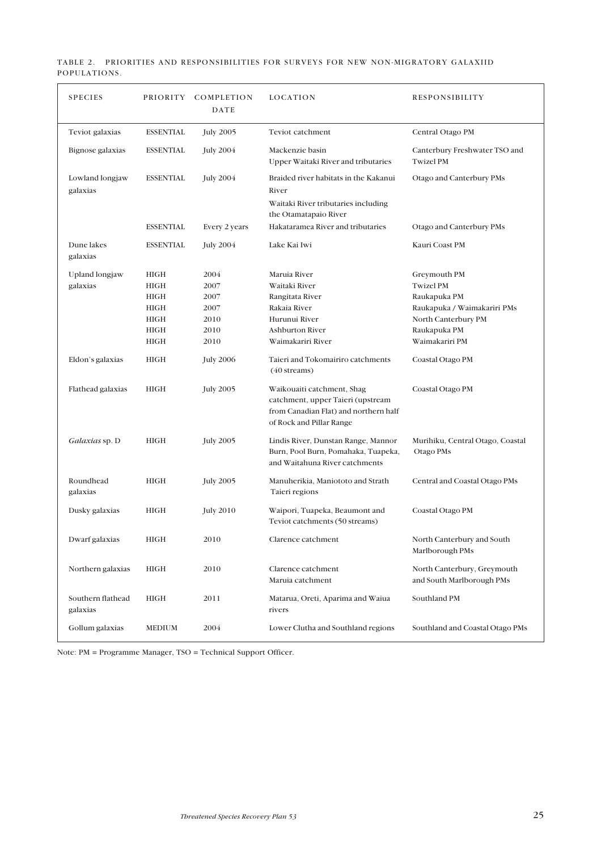|              |  | TABLE 2. PRIORITIES AND RESPONSIBILITIES FOR SURVEYS FOR NEW NON-MIGRATORY GALAXIID |  |  |  |
|--------------|--|-------------------------------------------------------------------------------------|--|--|--|
| POPULATIONS. |  |                                                                                     |  |  |  |

| <b>SPECIES</b>                |                  | PRIORITY COMPLETION<br>DATE | LOCATION                                                                                                                             | <b>RESPONSIBILITY</b>                                    |
|-------------------------------|------------------|-----------------------------|--------------------------------------------------------------------------------------------------------------------------------------|----------------------------------------------------------|
| Teviot galaxias               | <b>ESSENTIAL</b> | <b>July 2005</b>            | Teviot catchment                                                                                                                     | Central Otago PM                                         |
| Bignose galaxias              | <b>ESSENTIAL</b> | <b>July 2004</b>            | Mackenzie basin<br>Upper Waitaki River and tributaries                                                                               | Canterbury Freshwater TSO and<br><b>Twizel PM</b>        |
| Lowland longjaw<br>galaxias   | <b>ESSENTIAL</b> | <b>July 2004</b>            | Braided river habitats in the Kakanui<br>River                                                                                       | Otago and Canterbury PMs                                 |
|                               |                  |                             | Waitaki River tributaries including<br>the Otamatapaio River                                                                         |                                                          |
|                               | <b>ESSENTIAL</b> | Every 2 years               | Hakataramea River and tributaries                                                                                                    | Otago and Canterbury PMs                                 |
| Dune lakes<br>galaxias        | <b>ESSENTIAL</b> | <b>July 2004</b>            | Lake Kai Iwi                                                                                                                         | Kauri Coast PM                                           |
| Upland longjaw                | <b>HIGH</b>      | 2004                        | Maruia River                                                                                                                         | Greymouth PM                                             |
| galaxias                      | <b>HIGH</b>      | 2007                        | Waitaki River                                                                                                                        | <b>Twizel PM</b>                                         |
|                               | <b>HIGH</b>      | 2007                        | Rangitata River                                                                                                                      | Raukapuka PM                                             |
|                               | <b>HIGH</b>      | 2007                        | Rakaia River                                                                                                                         | Raukapuka / Waimakariri PMs                              |
|                               | <b>HIGH</b>      | 2010                        | Hurunui River                                                                                                                        | North Canterbury PM                                      |
|                               | <b>HIGH</b>      | 2010                        | <b>Ashburton River</b>                                                                                                               | Raukapuka PM                                             |
|                               | <b>HIGH</b>      | 2010                        | Waimakariri River                                                                                                                    | Waimakariri PM                                           |
| Eldon's galaxias              | HIGH             | <b>July 2006</b>            | Taieri and Tokomairiro catchments<br>$(40 \text{ streams})$                                                                          | Coastal Otago PM                                         |
| Flathead galaxias             | <b>HIGH</b>      | <b>July 2005</b>            | Waikouaiti catchment, Shag<br>catchment, upper Taieri (upstream<br>from Canadian Flat) and northern half<br>of Rock and Pillar Range | Coastal Otago PM                                         |
| <i>Galaxias</i> sp. D         | <b>HIGH</b>      | <b>July 2005</b>            | Lindis River, Dunstan Range, Mannor<br>Burn, Pool Burn, Pomahaka, Tuapeka,<br>and Waitahuna River catchments                         | Murihiku, Central Otago, Coastal<br>Otago PMs            |
| Roundhead<br>galaxias         | <b>HIGH</b>      | <b>July 2005</b>            | Manuherikia, Maniototo and Strath<br>Taieri regions                                                                                  | Central and Coastal Otago PMs                            |
| Dusky galaxias                | <b>HIGH</b>      | <b>July 2010</b>            | Waipori, Tuapeka, Beaumont and<br>Teviot catchments (50 streams)                                                                     | Coastal Otago PM                                         |
| Dwarf galaxias                | HIGH             | 2010                        | Clarence catchment                                                                                                                   | North Canterbury and South<br>Marlborough PMs            |
| Northern galaxias             | <b>HIGH</b>      | 2010                        | Clarence catchment<br>Maruia catchment                                                                                               | North Canterbury, Greymouth<br>and South Marlborough PMs |
| Southern flathead<br>galaxias | <b>HIGH</b>      | 2011                        | Matarua, Oreti, Aparima and Waiua<br>rivers                                                                                          | Southland PM                                             |
| Gollum galaxias               | <b>MEDIUM</b>    | 2004                        | Lower Clutha and Southland regions                                                                                                   | Southland and Coastal Otago PMs                          |

Note: PM = Programme Manager, TSO = Technical Support Officer.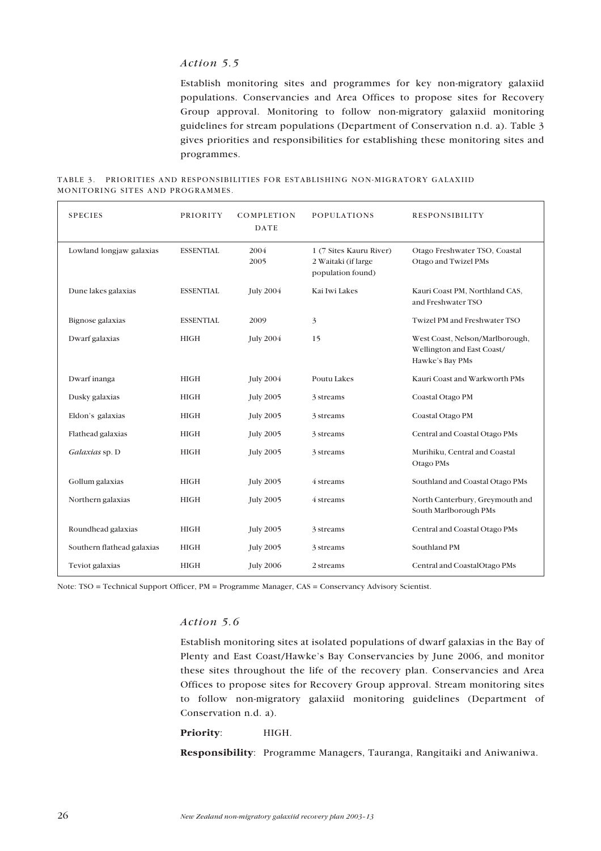## *Action 5.5*

Establish monitoring sites and programmes for key non-migratory galaxiid populations. Conservancies and Area Offices to propose sites for Recovery Group approval. Monitoring to follow non-migratory galaxiid monitoring guidelines for stream populations (Department of Conservation n.d. a). Table 3 gives priorities and responsibilities for establishing these monitoring sites and programmes.

TABLE 3. PRIORITIES AND RESPONSIBILITIES FOR ESTABLISHING NON-MIGRATORY GALAXIID MONITORING SITES AND PROGRAMMES.

| <b>SPECIES</b>             | PRIORITY         | COMPLETION<br><b>DATE</b> | <b>POPULATIONS</b>                                                  | <b>RESPONSIBILITY</b>                                                            |
|----------------------------|------------------|---------------------------|---------------------------------------------------------------------|----------------------------------------------------------------------------------|
| Lowland longjaw galaxias   | <b>ESSENTIAL</b> | 2004<br>2005              | 1 (7 Sites Kauru River)<br>2 Waitaki (if large<br>population found) | Otago Freshwater TSO, Coastal<br>Otago and Twizel PMs                            |
| Dune lakes galaxias        | <b>ESSENTIAL</b> | <b>July 2004</b>          | Kai Iwi Lakes                                                       | Kauri Coast PM, Northland CAS,<br>and Freshwater TSO                             |
| Bignose galaxias           | <b>ESSENTIAL</b> | 2009                      | 3                                                                   | Twizel PM and Freshwater TSO                                                     |
| Dwarf galaxias             | <b>HIGH</b>      | <b>July 2004</b>          | 15                                                                  | West Coast, Nelson/Marlborough,<br>Wellington and East Coast/<br>Hawke's Bay PMs |
| Dwarf inanga               | <b>HIGH</b>      | <b>July 2004</b>          | Poutu Lakes                                                         | Kauri Coast and Warkworth PMs                                                    |
| Dusky galaxias             | <b>HIGH</b>      | <b>July 2005</b>          | 3 streams                                                           | Coastal Otago PM                                                                 |
| Eldon's galaxias           | <b>HIGH</b>      | <b>July 2005</b>          | 3 streams                                                           | Coastal Otago PM                                                                 |
| Flathead galaxias          | <b>HIGH</b>      | <b>July 2005</b>          | 3 streams                                                           | Central and Coastal Otago PMs                                                    |
| Galaxias sp. D             | <b>HIGH</b>      | <b>July 2005</b>          | 3 streams                                                           | Murihiku, Central and Coastal<br>Otago PMs                                       |
| Gollum galaxias            | <b>HIGH</b>      | <b>July 2005</b>          | 4 streams                                                           | Southland and Coastal Otago PMs                                                  |
| Northern galaxias          | <b>HIGH</b>      | <b>July 2005</b>          | 4 streams                                                           | North Canterbury, Greymouth and<br>South Marlborough PMs                         |
| Roundhead galaxias         | <b>HIGH</b>      | <b>July 2005</b>          | 3 streams                                                           | Central and Coastal Otago PMs                                                    |
| Southern flathead galaxias | <b>HIGH</b>      | <b>July 2005</b>          | 3 streams                                                           | Southland PM                                                                     |
| Teviot galaxias            | <b>HIGH</b>      | <b>July 2006</b>          | 2 streams                                                           | Central and CoastalOtago PMs                                                     |

Note: TSO = Technical Support Officer, PM = Programme Manager, CAS = Conservancy Advisory Scientist.

#### *Action 5.6*

Establish monitoring sites at isolated populations of dwarf galaxias in the Bay of Plenty and East Coast/Hawke's Bay Conservancies by June 2006, and monitor these sites throughout the life of the recovery plan. Conservancies and Area Offices to propose sites for Recovery Group approval. Stream monitoring sites to follow non-migratory galaxiid monitoring guidelines (Department of Conservation n.d. a).

## Priority: **HIGH.**

**Responsibility**: Programme Managers, Tauranga, Rangitaiki and Aniwaniwa.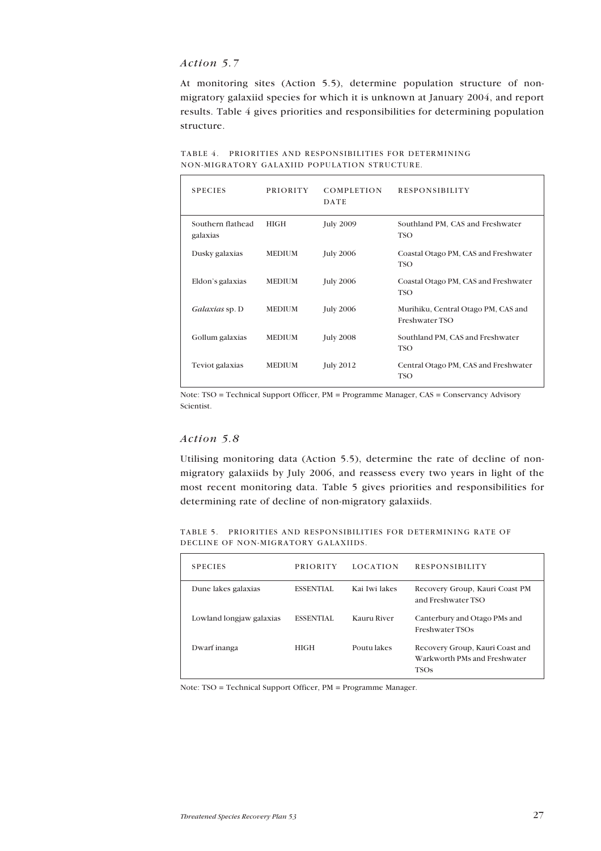## *Action 5.7*

At monitoring sites (Action 5.5), determine population structure of nonmigratory galaxiid species for which it is unknown at January 2004, and report results. Table 4 gives priorities and responsibilities for determining population structure.

| <b>SPECIES</b>                | <b>PRIORITY</b> | <b>COMPLETION</b><br>DATE | <b>RESPONSIBILITY</b>                                 |
|-------------------------------|-----------------|---------------------------|-------------------------------------------------------|
| Southern flathead<br>galaxias | <b>HIGH</b>     | <b>July 2009</b>          | Southland PM, CAS and Freshwater<br><b>TSO</b>        |
| Dusky galaxias                | <b>MEDIUM</b>   | <b>July 2006</b>          | Coastal Otago PM, CAS and Freshwater<br>TSO           |
| Eldon's galaxias              | <b>MEDIUM</b>   | <b>July 2006</b>          | Coastal Otago PM, CAS and Freshwater<br>TSO           |
| Galaxias sp. D                | <b>MEDIUM</b>   | <b>July 2006</b>          | Murihiku, Central Otago PM, CAS and<br>Freshwater TSO |
| Gollum galaxias               | <b>MEDIUM</b>   | <b>July 2008</b>          | Southland PM, CAS and Freshwater<br><b>TSO</b>        |
| Teviot galaxias               | <b>MEDIUM</b>   | <b>July 2012</b>          | Central Otago PM, CAS and Freshwater<br>TSO           |

TABLE 4. PRIORITIES AND RESPONSIBILITIES FOR DETERMINING NON-MIGRATORY GALAXIID POPULATION STRUCTURE.

Note: TSO = Technical Support Officer, PM = Programme Manager, CAS = Conservancy Advisory Scientist.

## *Action 5.8*

Utilising monitoring data (Action 5.5), determine the rate of decline of nonmigratory galaxiids by July 2006, and reassess every two years in light of the most recent monitoring data. Table 5 gives priorities and responsibilities for determining rate of decline of non-migratory galaxiids.

TABLE 5. PRIORITIES AND RESPONSIBILITIES FOR DETERMINING RATE OF DECLINE OF NON-MIGRATORY GALAXIIDS.

| <b>SPECIES</b>           | <b>PRIORITY</b>  | <b>LOCATION</b> | <b>RESPONSIBILITY</b>                                                          |
|--------------------------|------------------|-----------------|--------------------------------------------------------------------------------|
| Dune lakes galaxias      | <b>ESSENTIAL</b> | Kai Iwi lakes   | Recovery Group, Kauri Coast PM<br>and Freshwater TSO                           |
| Lowland longjaw galaxias | <b>ESSENTIAL</b> | Kauru River     | Canterbury and Otago PMs and<br>Freshwater TSOs                                |
| Dwarf inanga             | HIGH             | Poutu lakes     | Recovery Group, Kauri Coast and<br>Warkworth PMs and Freshwater<br><b>TSOs</b> |

Note: TSO = Technical Support Officer, PM = Programme Manager.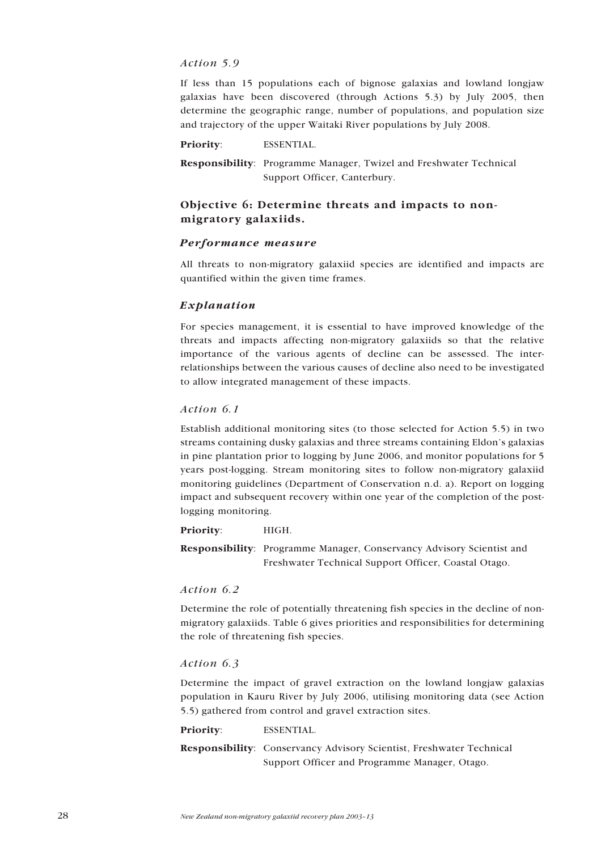## <span id="page-27-0"></span>*Action 5.9*

If less than 15 populations each of bignose galaxias and lowland longjaw galaxias have been discovered (through Actions 5.3) by July 2005, then determine the geographic range, number of populations, and population size and trajectory of the upper Waitaki River populations by July 2008.

**Priority**: ESSENTIAL.

**Responsibility**: Programme Manager, Twizel and Freshwater Technical Support Officer, Canterbury.

## **Objective 6: Determine threats and impacts to nonmigratory galaxiids.**

## *Performance measure*

All threats to non-migratory galaxiid species are identified and impacts are quantified within the given time frames.

## *Explanation*

For species management, it is essential to have improved knowledge of the threats and impacts affecting non-migratory galaxiids so that the relative importance of the various agents of decline can be assessed. The interrelationships between the various causes of decline also need to be investigated to allow integrated management of these impacts.

## *Action 6.1*

Establish additional monitoring sites (to those selected for Action 5.5) in two streams containing dusky galaxias and three streams containing Eldon's galaxias in pine plantation prior to logging by June 2006, and monitor populations for 5 years post-logging. Stream monitoring sites to follow non-migratory galaxiid monitoring guidelines (Department of Conservation n.d. a). Report on logging impact and subsequent recovery within one year of the completion of the postlogging monitoring.

**Priority**: HIGH.

**Responsibility**: Programme Manager, Conservancy Advisory Scientist and Freshwater Technical Support Officer, Coastal Otago.

## *Action 6.2*

Determine the role of potentially threatening fish species in the decline of nonmigratory galaxiids. Table 6 gives priorities and responsibilities for determining the role of threatening fish species.

## *Action 6.3*

Determine the impact of gravel extraction on the lowland longjaw galaxias population in Kauru River by July 2006, utilising monitoring data (see Action 5.5) gathered from control and gravel extraction sites.

**Priority**: ESSENTIAL.

**Responsibility**: Conservancy Advisory Scientist, Freshwater Technical Support Officer and Programme Manager, Otago.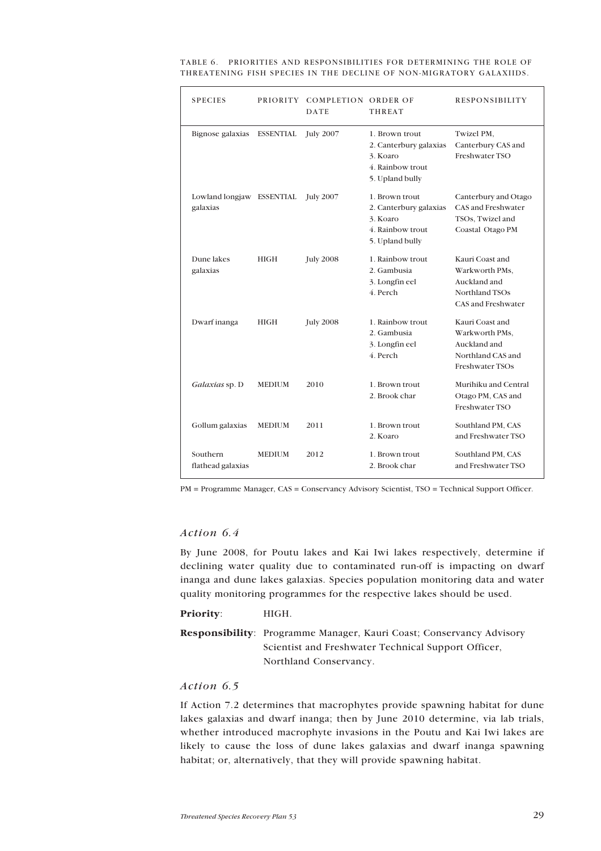| <b>SPECIES</b>                        | <b>PRIORITY</b>  | <b>COMPLETION ORDER OF</b><br><b>DATE</b> | <b>THREAT</b>                                                                               | <b>RESPONSIBILITY</b>                                                                            |
|---------------------------------------|------------------|-------------------------------------------|---------------------------------------------------------------------------------------------|--------------------------------------------------------------------------------------------------|
| Bignose galaxias                      | <b>ESSENTIAL</b> | <b>July 2007</b>                          | 1. Brown trout<br>2. Canterbury galaxias<br>3. Koaro<br>4. Rainbow trout<br>5. Upland bully | Twizel PM,<br>Canterbury CAS and<br>Freshwater TSO                                               |
| Lowland longjaw ESSENTIAL<br>galaxias |                  | <b>July 2007</b>                          | 1. Brown trout<br>2. Canterbury galaxias<br>3. Koaro<br>4. Rainbow trout<br>5. Upland bully | Canterbury and Otago<br>CAS and Freshwater<br>TSOs, Twizel and<br>Coastal Otago PM               |
| Dune lakes<br>galaxias                | <b>HIGH</b>      | <b>July 2008</b>                          | 1. Rainbow trout<br>2. Gambusia<br>3. Longfin eel<br>4. Perch                               | Kauri Coast and<br>Warkworth PMs,<br>Auckland and<br>Northland TSOs<br>CAS and Freshwater        |
| Dwarf inanga                          | <b>HIGH</b>      | <b>July 2008</b>                          | 1. Rainbow trout<br>2. Gambusia<br>3. Longfin eel<br>4. Perch                               | Kauri Coast and<br>Warkworth PMs,<br>Auckland and<br>Northland CAS and<br><b>Freshwater TSOs</b> |
| Galaxias sp. D                        | <b>MEDIUM</b>    | 2010                                      | 1. Brown trout<br>2. Brook char                                                             | Murihiku and Central<br>Otago PM, CAS and<br>Freshwater TSO                                      |
| Gollum galaxias                       | <b>MEDIUM</b>    | 2011                                      | 1. Brown trout<br>2. Koaro                                                                  | Southland PM, CAS<br>and Freshwater TSO                                                          |
| Southern<br>flathead galaxias         | <b>MEDIUM</b>    | 2012                                      | 1. Brown trout<br>2. Brook char                                                             | Southland PM, CAS<br>and Freshwater TSO                                                          |

TABLE 6. PRIORITIES AND RESPONSIBILITIES FOR DETERMINING THE ROLE OF THREATENING FISH SPECIES IN THE DECLINE OF NON-MIGRATORY GALAXIIDS.

PM = Programme Manager, CAS = Conservancy Advisory Scientist, TSO = Technical Support Officer.

## *Action 6.4*

By June 2008, for Poutu lakes and Kai Iwi lakes respectively, determine if declining water quality due to contaminated run-off is impacting on dwarf inanga and dune lakes galaxias. Species population monitoring data and water quality monitoring programmes for the respective lakes should be used.

#### Priority: **HIGH.**

**Responsibility**: Programme Manager, Kauri Coast; Conservancy Advisory Scientist and Freshwater Technical Support Officer, Northland Conservancy.

## *Action 6.5*

If Action 7.2 determines that macrophytes provide spawning habitat for dune lakes galaxias and dwarf inanga; then by June 2010 determine, via lab trials, whether introduced macrophyte invasions in the Poutu and Kai Iwi lakes are likely to cause the loss of dune lakes galaxias and dwarf inanga spawning habitat; or, alternatively, that they will provide spawning habitat.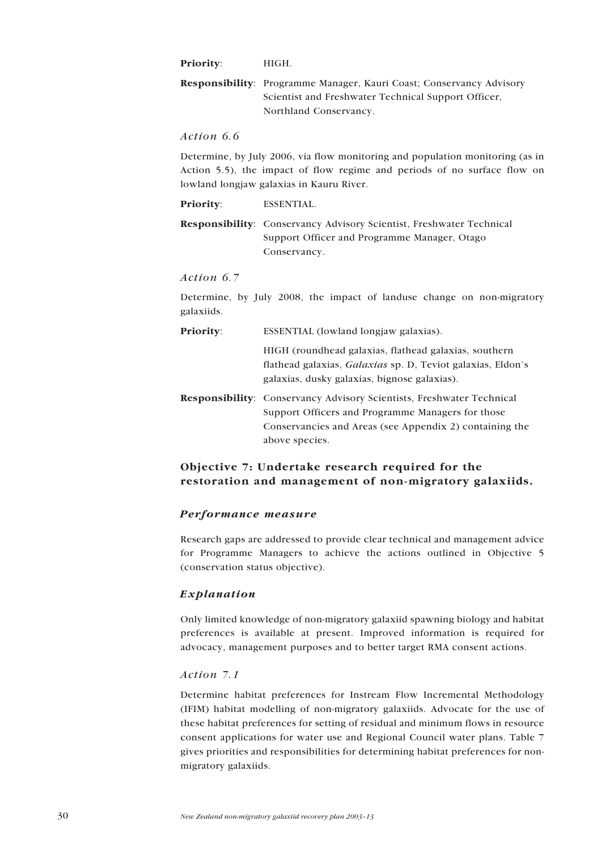<span id="page-29-0"></span>**Priority**: HIGH.

**Responsibility**: Programme Manager, Kauri Coast; Conservancy Advisory Scientist and Freshwater Technical Support Officer, Northland Conservancy.

*Action 6.6*

Determine, by July 2006, via flow monitoring and population monitoring (as in Action 5.5), the impact of flow regime and periods of no surface flow on lowland longjaw galaxias in Kauru River.

**Priority**: ESSENTIAL.

**Responsibility**: Conservancy Advisory Scientist, Freshwater Technical Support Officer and Programme Manager, Otago Conservancy.

*Action 6.7*

Determine, by July 2008, the impact of landuse change on non-migratory galaxiids.

**Priority:** ESSENTIAL (lowland longjaw galaxias).

HIGH (roundhead galaxias, flathead galaxias, southern flathead galaxias, *Galaxias* sp. D, Teviot galaxias, Eldon's galaxias, dusky galaxias, bignose galaxias).

**Responsibility**: Conservancy Advisory Scientists, Freshwater Technical Support Officers and Programme Managers for those Conservancies and Areas (see Appendix 2) containing the above species.

## **Objective 7: Undertake research required for the restoration and management of non-migratory galaxiids.**

## *Performance measure*

Research gaps are addressed to provide clear technical and management advice for Programme Managers to achieve the actions outlined in Objective 5 (conservation status objective).

## *Explanation*

Only limited knowledge of non-migratory galaxiid spawning biology and habitat preferences is available at present. Improved information is required for advocacy, management purposes and to better target RMA consent actions.

#### *Action 7.1*

Determine habitat preferences for Instream Flow Incremental Methodology (IFIM) habitat modelling of non-migratory galaxiids. Advocate for the use of these habitat preferences for setting of residual and minimum flows in resource consent applications for water use and Regional Council water plans. Table 7 gives priorities and responsibilities for determining habitat preferences for nonmigratory galaxiids.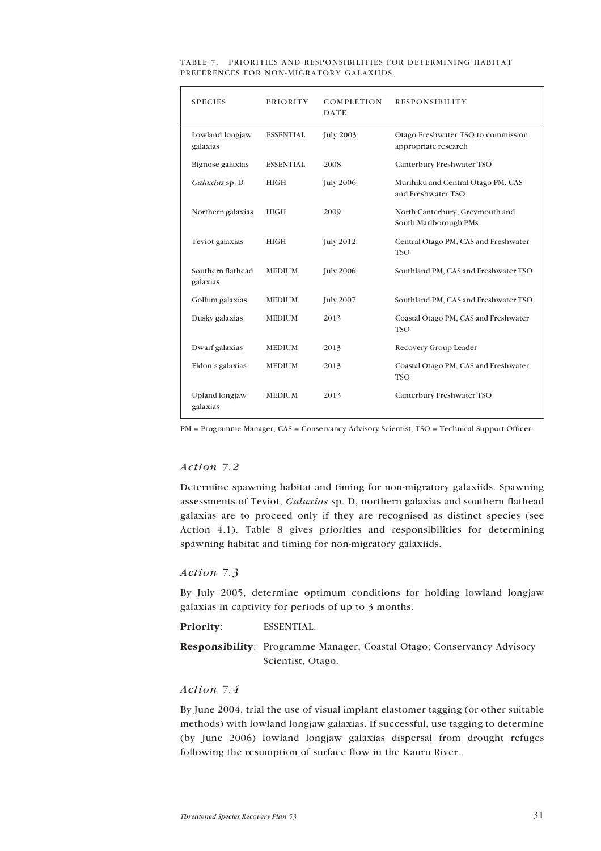| <b>SPECIES</b>                | <b>PRIORITY</b>  | COMPLETION<br>DATE | <b>RESPONSIBILITY</b>                                      |
|-------------------------------|------------------|--------------------|------------------------------------------------------------|
| Lowland longjaw<br>galaxias   | <b>ESSENTIAL</b> | <b>July 2003</b>   | Otago Freshwater TSO to commission<br>appropriate research |
| Bignose galaxias              | <b>ESSENTIAL</b> | 2008               | Canterbury Freshwater TSO                                  |
| Galaxias sp. D                | <b>HIGH</b>      | <b>July 2006</b>   | Murihiku and Central Otago PM, CAS<br>and Freshwater TSO   |
| Northern galaxias             | <b>HIGH</b>      | 2009               | North Canterbury, Greymouth and<br>South Marlborough PMs   |
| Teviot galaxias               | <b>HIGH</b>      | <b>July 2012</b>   | Central Otago PM, CAS and Freshwater<br><b>TSO</b>         |
| Southern flathead<br>galaxias | <b>MEDIUM</b>    | <b>July 2006</b>   | Southland PM, CAS and Freshwater TSO                       |
| Gollum galaxias               | <b>MEDIUM</b>    | <b>July 2007</b>   | Southland PM, CAS and Freshwater TSO                       |
| Dusky galaxias                | <b>MEDIUM</b>    | 2013               | Coastal Otago PM, CAS and Freshwater<br><b>TSO</b>         |
| Dwarf galaxias                | <b>MEDIUM</b>    | 2013               | Recovery Group Leader                                      |
| Eldon's galaxias              | <b>MEDIUM</b>    | 2013               | Coastal Otago PM, CAS and Freshwater<br><b>TSO</b>         |
| Upland longjaw<br>galaxias    | <b>MEDIUM</b>    | 2013               | Canterbury Freshwater TSO                                  |

#### TABLE 7. PRIORITIES AND RESPONSIBILITIES FOR DETERMINING HABITAT PREFERENCES FOR NON-MIGRATORY GALAXIIDS.

PM = Programme Manager, CAS = Conservancy Advisory Scientist, TSO = Technical Support Officer.

## *Action 7.2*

Determine spawning habitat and timing for non-migratory galaxiids. Spawning assessments of Teviot, *Galaxias* sp. D, northern galaxias and southern flathead galaxias are to proceed only if they are recognised as distinct species (see Action 4.1). Table 8 gives priorities and responsibilities for determining spawning habitat and timing for non-migratory galaxiids.

## *Action 7.3*

By July 2005, determine optimum conditions for holding lowland longjaw galaxias in captivity for periods of up to 3 months.

**Priority**: ESSENTIAL.

**Responsibility**: Programme Manager, Coastal Otago; Conservancy Advisory Scientist, Otago.

## *Action 7.4*

By June 2004, trial the use of visual implant elastomer tagging (or other suitable methods) with lowland longjaw galaxias. If successful, use tagging to determine (by June 2006) lowland longjaw galaxias dispersal from drought refuges following the resumption of surface flow in the Kauru River.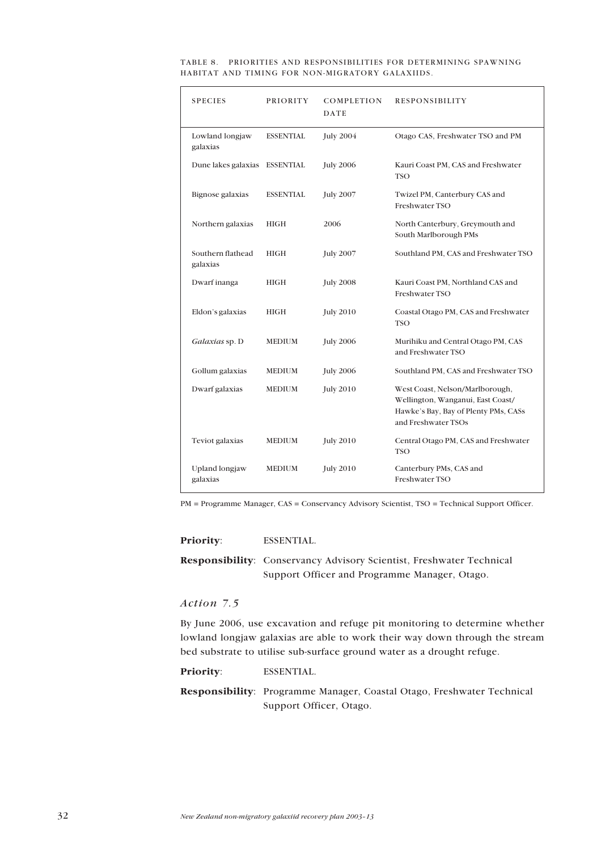|  | TABLE 8. PRIORITIES AND RESPONSIBILITIES FOR DETERMINING SPAWNING |  |  |
|--|-------------------------------------------------------------------|--|--|
|  | HABITAT AND TIMING FOR NON-MIGRATORY GALAXIIDS.                   |  |  |

| <b>SPECIES</b>                | <b>PRIORITY</b>  | COMPLETION<br>DATE | <b>RESPONSIBILITY</b>                                                                                                               |
|-------------------------------|------------------|--------------------|-------------------------------------------------------------------------------------------------------------------------------------|
| Lowland longjaw<br>galaxias   | <b>ESSENTIAL</b> | <b>July 2004</b>   | Otago CAS, Freshwater TSO and PM                                                                                                    |
| Dune lakes galaxias ESSENTIAL |                  | <b>July 2006</b>   | Kauri Coast PM, CAS and Freshwater<br><b>TSO</b>                                                                                    |
| Bignose galaxias              | <b>ESSENTIAL</b> | <b>July 2007</b>   | Twizel PM, Canterbury CAS and<br>Freshwater TSO                                                                                     |
| Northern galaxias             | <b>HIGH</b>      | 2006               | North Canterbury, Greymouth and<br>South Marlborough PMs                                                                            |
| Southern flathead<br>galaxias | <b>HIGH</b>      | <b>July 2007</b>   | Southland PM, CAS and Freshwater TSO                                                                                                |
| Dwarf inanga                  | <b>HIGH</b>      | <b>July 2008</b>   | Kauri Coast PM, Northland CAS and<br>Freshwater TSO                                                                                 |
| Eldon's galaxias              | HIGH             | <b>July 2010</b>   | Coastal Otago PM, CAS and Freshwater<br>TSO                                                                                         |
| Galaxias sp. D                | MEDIUM           | <b>July 2006</b>   | Murihiku and Central Otago PM, CAS<br>and Freshwater TSO                                                                            |
| Gollum galaxias               | <b>MEDIUM</b>    | <b>July 2006</b>   | Southland PM, CAS and Freshwater TSO                                                                                                |
| Dwarf galaxias                | <b>MEDIUM</b>    | <b>July 2010</b>   | West Coast, Nelson/Marlborough,<br>Wellington, Wanganui, East Coast/<br>Hawke's Bay, Bay of Plenty PMs, CASs<br>and Freshwater TSOs |
| Teviot galaxias               | <b>MEDIUM</b>    | <b>July 2010</b>   | Central Otago PM, CAS and Freshwater<br><b>TSO</b>                                                                                  |
| Upland longjaw<br>galaxias    | <b>MEDIUM</b>    | <b>July 2010</b>   | Canterbury PMs, CAS and<br>Freshwater TSO                                                                                           |

PM = Programme Manager, CAS = Conservancy Advisory Scientist, TSO = Technical Support Officer.

#### **Priority**: ESSENTIAL.

**Responsibility**: Conservancy Advisory Scientist, Freshwater Technical Support Officer and Programme Manager, Otago.

## *Action 7.5*

By June 2006, use excavation and refuge pit monitoring to determine whether lowland longjaw galaxias are able to work their way down through the stream bed substrate to utilise sub-surface ground water as a drought refuge.

**Priority**: ESSENTIAL.

**Responsibility**: Programme Manager, Coastal Otago, Freshwater Technical Support Officer, Otago.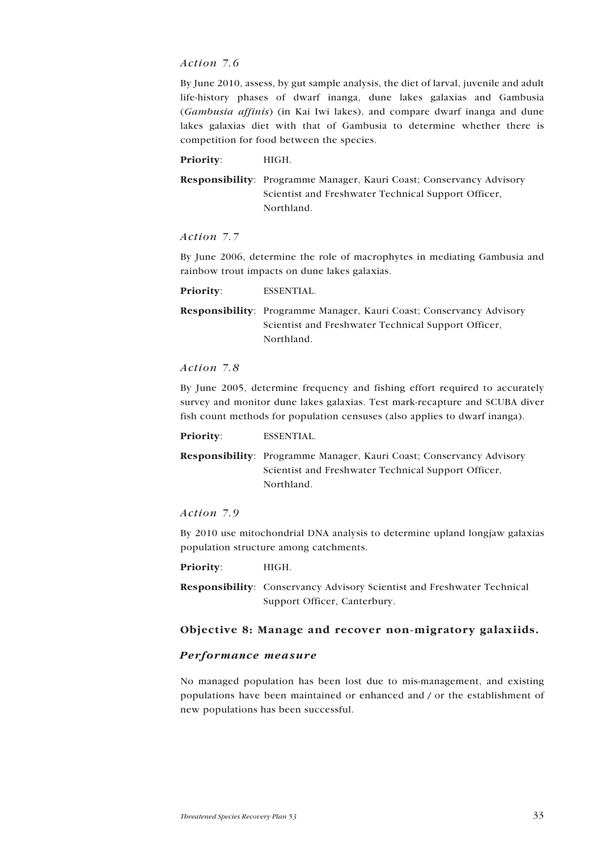## <span id="page-32-0"></span>*Action 7.6*

By June 2010, assess, by gut sample analysis, the diet of larval, juvenile and adult life-history phases of dwarf inanga, dune lakes galaxias and Gambusia (*Gambusia affinis*) (in Kai Iwi lakes), and compare dwarf inanga and dune lakes galaxias diet with that of Gambusia to determine whether there is competition for food between the species.

Priority: **HIGH.** 

**Responsibility**: Programme Manager, Kauri Coast; Conservancy Advisory Scientist and Freshwater Technical Support Officer, Northland.

## *Action 7.7*

By June 2006, determine the role of macrophytes in mediating Gambusia and rainbow trout impacts on dune lakes galaxias.

**Priority**: ESSENTIAL.

**Responsibility**: Programme Manager, Kauri Coast; Conservancy Advisory Scientist and Freshwater Technical Support Officer, Northland.

#### *Action 7.8*

By June 2005, determine frequency and fishing effort required to accurately survey and monitor dune lakes galaxias. Test mark-recapture and SCUBA diver fish count methods for population censuses (also applies to dwarf inanga).

**Priority**: ESSENTIAL.

**Responsibility**: Programme Manager, Kauri Coast; Conservancy Advisory Scientist and Freshwater Technical Support Officer, Northland.

## *Action 7.9*

By 2010 use mitochondrial DNA analysis to determine upland longjaw galaxias population structure among catchments.

**Priority**: HIGH.

**Responsibility**: Conservancy Advisory Scientist and Freshwater Technical Support Officer, Canterbury.

## **Objective 8: Manage and recover non-migratory galaxiids.**

#### *Performance measure*

No managed population has been lost due to mis-management, and existing populations have been maintained or enhanced and / or the establishment of new populations has been successful.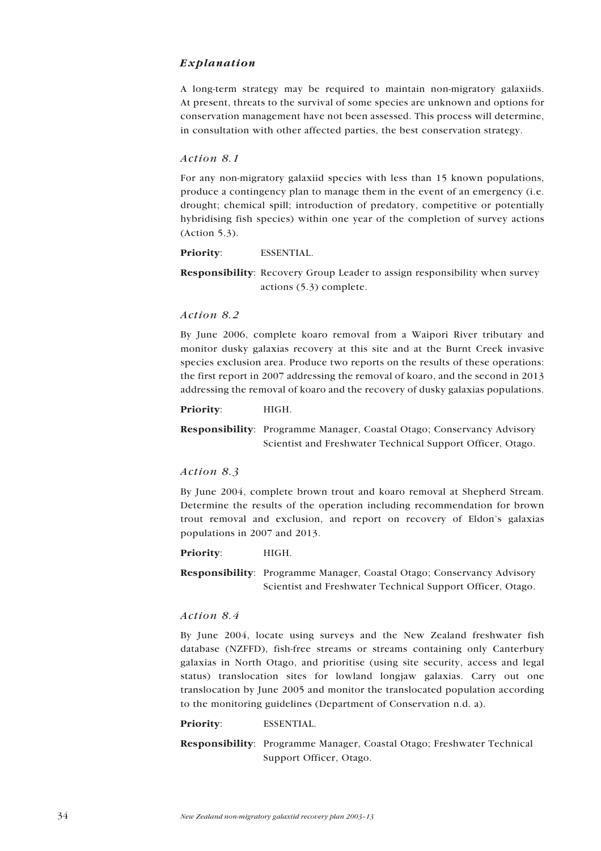## *Explanation*

A long-term strategy may be required to maintain non-migratory galaxiids. At present, threats to the survival of some species are unknown and options for conservation management have not been assessed. This process will determine, in consultation with other affected parties, the best conservation strategy.

#### *Action 8.1*

For any non-migratory galaxiid species with less than 15 known populations, produce a contingency plan to manage them in the event of an emergency (i.e. drought; chemical spill; introduction of predatory, competitive or potentially hybridising fish species) within one year of the completion of survey actions (Action 5.3).

**Priority**: ESSENTIAL.

**Responsibility**: Recovery Group Leader to assign responsibility when survey actions (5.3) complete.

#### *Action 8.2*

By June 2006, complete koaro removal from a Waipori River tributary and monitor dusky galaxias recovery at this site and at the Burnt Creek invasive species exclusion area. Produce two reports on the results of these operations: the first report in 2007 addressing the removal of koaro, and the second in 2013 addressing the removal of koaro and the recovery of dusky galaxias populations.

#### **Priority**: HIGH.

**Responsibility**: Programme Manager, Coastal Otago; Conservancy Advisory Scientist and Freshwater Technical Support Officer, Otago.

## *Action 8.3*

By June 2004, complete brown trout and koaro removal at Shepherd Stream. Determine the results of the operation including recommendation for brown trout removal and exclusion, and report on recovery of Eldon's galaxias populations in 2007 and 2013.

#### Priority: **HIGH.**

**Responsibility**: Programme Manager, Coastal Otago; Conservancy Advisory Scientist and Freshwater Technical Support Officer, Otago.

## *Action 8.4*

By June 2004, locate using surveys and the New Zealand freshwater fish database (NZFFD), fish-free streams or streams containing only Canterbury galaxias in North Otago, and prioritise (using site security, access and legal status) translocation sites for lowland longjaw galaxias. Carry out one translocation by June 2005 and monitor the translocated population according to the monitoring guidelines (Department of Conservation n.d. a).

#### **Priority**: ESSENTIAL.

**Responsibility**: Programme Manager, Coastal Otago; Freshwater Technical Support Officer, Otago.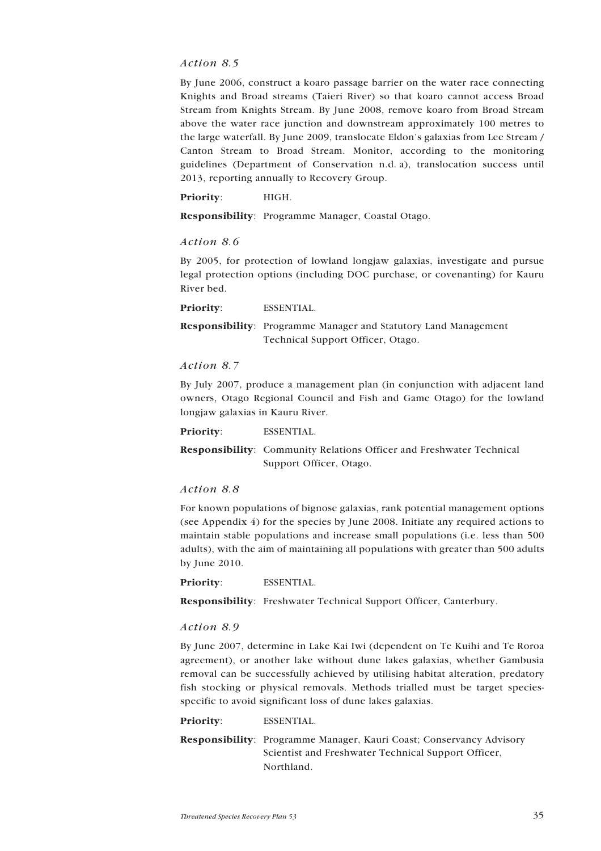## *Action 8.5*

By June 2006, construct a koaro passage barrier on the water race connecting Knights and Broad streams (Taieri River) so that koaro cannot access Broad Stream from Knights Stream. By June 2008, remove koaro from Broad Stream above the water race junction and downstream approximately 100 metres to the large waterfall. By June 2009, translocate Eldon's galaxias from Lee Stream / Canton Stream to Broad Stream. Monitor, according to the monitoring guidelines (Department of Conservation n.d. a), translocation success until 2013, reporting annually to Recovery Group.

**Priority**: HIGH.

**Responsibility**: Programme Manager, Coastal Otago.

#### *Action 8.6*

By 2005, for protection of lowland longjaw galaxias, investigate and pursue legal protection options (including DOC purchase, or covenanting) for Kauru River bed.

**Priority**: ESSENTIAL.

**Responsibility**: Programme Manager and Statutory Land Management Technical Support Officer, Otago.

#### *Action 8.7*

By July 2007, produce a management plan (in conjunction with adjacent land owners, Otago Regional Council and Fish and Game Otago) for the lowland longjaw galaxias in Kauru River.

**Priority**: ESSENTIAL.

**Responsibility**: Community Relations Officer and Freshwater Technical Support Officer, Otago.

#### *Action 8.8*

For known populations of bignose galaxias, rank potential management options (see Appendix 4) for the species by June 2008. Initiate any required actions to maintain stable populations and increase small populations (i.e. less than 500 adults), with the aim of maintaining all populations with greater than 500 adults by June 2010.

**Priority**: ESSENTIAL.

**Responsibility**: Freshwater Technical Support Officer, Canterbury.

## *Action 8.9*

By June 2007, determine in Lake Kai Iwi (dependent on Te Kuihi and Te Roroa agreement), or another lake without dune lakes galaxias, whether Gambusia removal can be successfully achieved by utilising habitat alteration, predatory fish stocking or physical removals. Methods trialled must be target speciesspecific to avoid significant loss of dune lakes galaxias.

#### **Priority**: ESSENTIAL.

**Responsibility**: Programme Manager, Kauri Coast; Conservancy Advisory Scientist and Freshwater Technical Support Officer, Northland.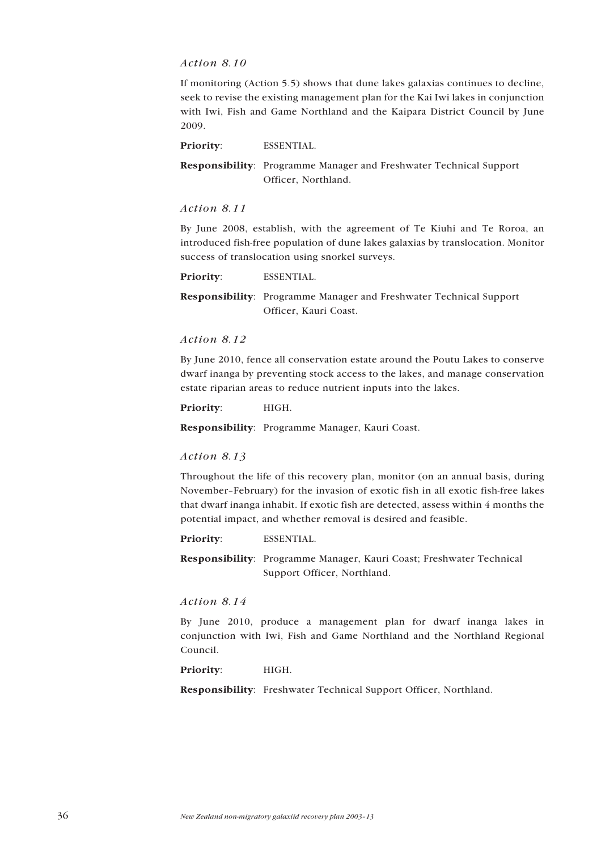## <span id="page-35-0"></span>*Action 8.10*

If monitoring (Action 5.5) shows that dune lakes galaxias continues to decline, seek to revise the existing management plan for the Kai Iwi lakes in conjunction with Iwi, Fish and Game Northland and the Kaipara District Council by June 2009.

**Priority**: ESSENTIAL.

**Responsibility**: Programme Manager and Freshwater Technical Support Officer, Northland.

#### *Action 8.11*

By June 2008, establish, with the agreement of Te Kiuhi and Te Roroa, an introduced fish-free population of dune lakes galaxias by translocation. Monitor success of translocation using snorkel surveys.

**Priority**: ESSENTIAL.

**Responsibility**: Programme Manager and Freshwater Technical Support Officer, Kauri Coast.

## *Action 8.12*

By June 2010, fence all conservation estate around the Poutu Lakes to conserve dwarf inanga by preventing stock access to the lakes, and manage conservation estate riparian areas to reduce nutrient inputs into the lakes.

**Priority**: HIGH.

**Responsibility**: Programme Manager, Kauri Coast.

#### *Action 8.13*

Throughout the life of this recovery plan, monitor (on an annual basis, during November-February) for the invasion of exotic fish in all exotic fish-free lakes that dwarf inanga inhabit. If exotic fish are detected, assess within 4 months the potential impact, and whether removal is desired and feasible.

**Priority**: ESSENTIAL.

**Responsibility**: Programme Manager, Kauri Coast; Freshwater Technical Support Officer, Northland.

### *Action 8.14*

By June 2010, produce a management plan for dwarf inanga lakes in conjunction with Iwi, Fish and Game Northland and the Northland Regional Council.

#### **Priority**: HIGH.

**Responsibility**: Freshwater Technical Support Officer, Northland.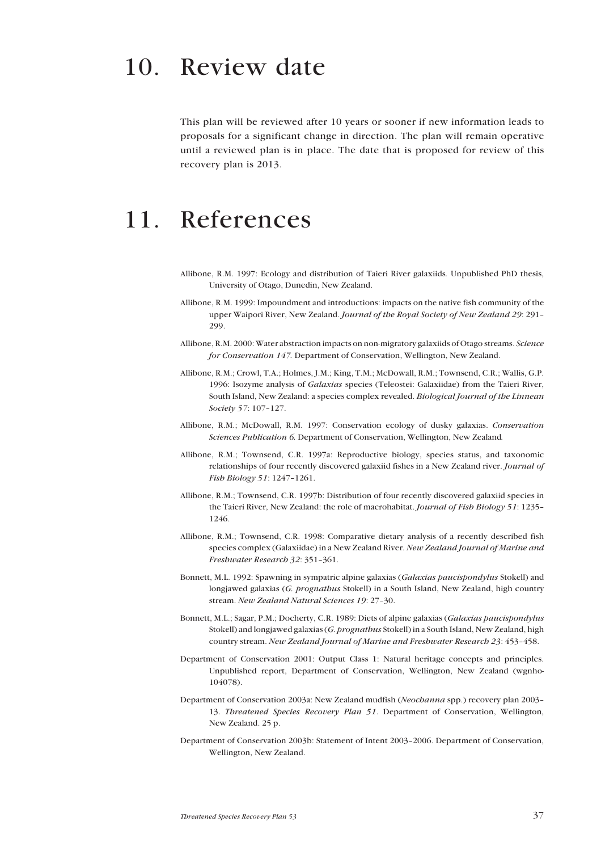<span id="page-36-0"></span>This plan will be reviewed after 10 years or sooner if new information leads to proposals for a significant change in direction. The plan will remain operative until a reviewed plan is in place. The date that is proposed for review of this recovery plan is 2013.

## 11. References

- Allibone, R.M. 1997: Ecology and distribution of Taieri River galaxiids*.* Unpublished PhD thesis, University of Otago, Dunedin, New Zealand.
- Allibone, R.M. 1999: Impoundment and introductions: impacts on the native fish community of the upper Waipori River, New Zealand. *Journal of the Royal Society of New Zealand 29*: 291-299.
- Allibone, R.M. 2000: Water abstraction impacts on non-migratory galaxiids of Otago streams. *Science for Conservation 147.* Department of Conservation, Wellington, New Zealand.
- Allibone, R.M.; Crowl, T.A.; Holmes, J.M.; King, T.M.; McDowall, R.M.; Townsend, C.R.; Wallis, G.P. 1996: Isozyme analysis of *Galaxias* species (Teleostei: Galaxiidae) from the Taieri River, South Island, New Zealand: a species complex revealed. *Biological Journal of the Linnean Society* 57: 107-127.
- Allibone, R.M.; McDowall, R.M. 1997: Conservation ecology of dusky galaxias. *Conservation Sciences Publication 6.* Department of Conservation, Wellington, New Zealand*.*
- Allibone, R.M.; Townsend, C.R. 1997a: Reproductive biology, species status, and taxonomic relationships of four recently discovered galaxiid fishes in a New Zealand river. *Journal of Fish Biology 51:* 1247-1261.
- Allibone, R.M.; Townsend, C.R. 1997b: Distribution of four recently discovered galaxiid species in the Taieri River, New Zealand: the role of macrohabitat. *Journal of Fish Biology 51*: 1235-1246.
- Allibone, R.M.; Townsend, C.R. 1998: Comparative dietary analysis of a recently described fish species complex (Galaxiidae) in a New Zealand River. *New Zealand Journal of Marine and Freshwater Research 32: 351-361.*
- Bonnett, M.L. 1992: Spawning in sympatric alpine galaxias (*Galaxias paucispondylus* Stokell) and longjawed galaxias (*G. prognathus* Stokell) in a South Island, New Zealand, high country stream. *New Zealand Natural Sciences 19: 27-30.*
- Bonnett, M.L.; Sagar, P.M.; Docherty, C.R. 1989: Diets of alpine galaxias (*Galaxias paucispondylus* Stokell) and longjawed galaxias (*G. prognathus* Stokell) in a South Island, New Zealand, high country stream. *New Zealand Journal of Marine and Freshwater Research 23*: 453-458.
- Department of Conservation 2001: Output Class 1: Natural heritage concepts and principles. Unpublished report, Department of Conservation, Wellington, New Zealand (wgnho-104078).
- Department of Conservation 2003a: New Zealand mudfish (*Neochanna* spp.) recovery plan 2003-13. *Threatened Species Recovery Plan 51*. Department of Conservation, Wellington, New Zealand. 25 p.
- Department of Conservation 2003b: Statement of Intent 2003-2006. Department of Conservation, Wellington, New Zealand.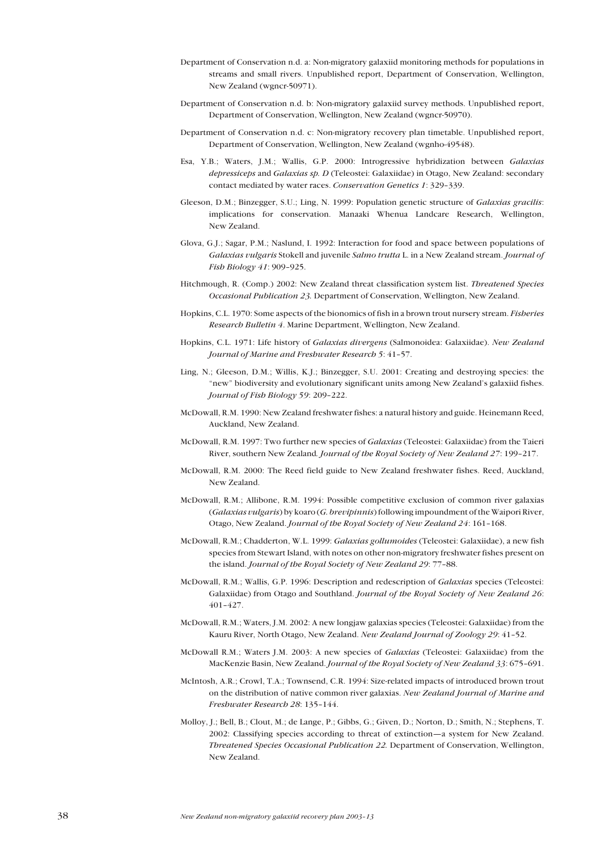- Department of Conservation n.d. a: Non-migratory galaxiid monitoring methods for populations in streams and small rivers. Unpublished report, Department of Conservation, Wellington, New Zealand (wgncr-50971).
- Department of Conservation n.d. b: Non-migratory galaxiid survey methods. Unpublished report, Department of Conservation, Wellington, New Zealand (wgncr-50970).
- Department of Conservation n.d. c: Non-migratory recovery plan timetable. Unpublished report, Department of Conservation, Wellington, New Zealand (wgnho-49548).
- Esa, Y.B.; Waters, J.M.; Wallis, G.P. 2000: Introgressive hybridization between *Galaxias depressiceps* and *Galaxias sp. D* (Teleostei: Galaxiidae) in Otago, New Zealand: secondary contact mediated by water races. *Conservation Genetics 1*: 329-339.
- Gleeson, D.M.; Binzegger, S.U.; Ling, N. 1999: Population genetic structure of *Galaxias gracilis*: implications for conservation. Manaaki Whenua Landcare Research, Wellington, New Zealand.
- Glova, G.J.; Sagar, P.M.; Naslund, I. 1992: Interaction for food and space between populations of *Galaxias vulgaris* Stokell and juvenile *Salmo trutta* L. in a New Zealand stream. *Journal of Fish Biology 41:* 909-925.
- Hitchmough, R. (Comp.) 2002: New Zealand threat classification system list. *Threatened Species Occasional Publication 23.* Department of Conservation, Wellington, New Zealand.
- Hopkins, C.L. 1970: Some aspects of the bionomics of fish in a brown trout nursery stream. *Fisheries Research Bulletin 4*. Marine Department, Wellington, New Zealand.
- Hopkins, C.L. 1971: Life history of *Galaxias divergens* (Salmonoidea: Galaxiidae). *New Zealand Journal of Marine and Fresbwater Research 5: 41-57.*
- Ling, N.; Gleeson, D.M.; Willis, K.J.; Binzegger, S.U. 2001: Creating and destroying species: the "new" biodiversity and evolutionary significant units among New Zealand's galaxiid fishes. *Journal of Fish Biology 59: 209-222.*
- McDowall, R.M. 1990: New Zealand freshwater fishes: a natural history and guide. Heinemann Reed, Auckland, New Zealand.
- McDowall, R.M. 1997: Two further new species of *Galaxias* (Teleostei: Galaxiidae) from the Taieri River, southern New Zealand. Journal of the Royal Society of New Zealand 27: 199-217.
- McDowall, R.M. 2000: The Reed field guide to New Zealand freshwater fishes. Reed, Auckland, New Zealand.
- McDowall, R.M.; Allibone, R.M. 1994: Possible competitive exclusion of common river galaxias (*Galaxias vulgaris*) by koaro (*G. brevipinnis*) following impoundment of the Waipori River, Otago, New Zealand. *Journal of the Royal Society of New Zealand 24*: 161-168.
- McDowall, R.M.; Chadderton, W.L. 1999: *Galaxias gollumoides* (Teleostei: Galaxiidae), a new fish species from Stewart Island, with notes on other non-migratory freshwater fishes present on the island. *Journal of the Royal Society of New Zealand 29*: 77-88.
- McDowall, R.M.; Wallis, G.P. 1996: Description and redescription of *Galaxias* species (Teleostei: Galaxiidae) from Otago and Southland. *Journal of the Royal Society of New Zealand 26*: 401-427.
- McDowall, R.M.; Waters, J.M. 2002: A new longjaw galaxias species (Teleostei: Galaxiidae) from the Kauru River, North Otago, New Zealand. *New Zealand Journal of Zoology 29*: 41-52.
- McDowall R.M.; Waters J.M. 2003: A new species of *Galaxias* (Teleostei: Galaxiidae) from the MacKenzie Basin, New Zealand. *Journal of the Royal Society of New Zealand* 33: 675-691.
- McIntosh, A.R.; Crowl, T.A.; Townsend, C.R. 1994: Size-related impacts of introduced brown trout on the distribution of native common river galaxias. *New Zealand Journal of Marine and Freshwater Research 28*: 135-144.
- Molloy, J.; Bell, B.; Clout, M.; de Lange, P.; Gibbs, G.; Given, D.; Norton, D.; Smith, N.; Stephens, T. 2002: Classifying species according to threat of extinction—a system for New Zealand. *Threatened Species Occasional Publication 22.* Department of Conservation, Wellington, New Zealand.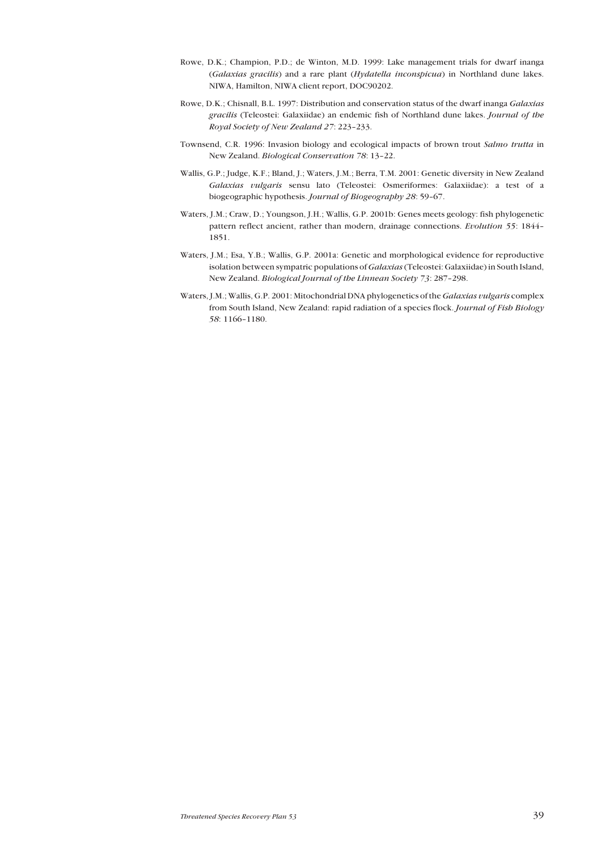- <span id="page-38-0"></span>Rowe, D.K.; Champion, P.D.; de Winton, M.D. 1999: Lake management trials for dwarf inanga (*Galaxias gracilis*) and a rare plant (*Hydatella inconspicua*) in Northland dune lakes. NIWA, Hamilton, NIWA client report, DOC90202.
- Rowe, D.K.; Chisnall, B.L. 1997: Distribution and conservation status of the dwarf inanga *Galaxias gracilis* (Teleostei: Galaxiidae) an endemic fish of Northland dune lakes. *Journal of the Royal Society of New Zealand 27: 223-233.*
- Townsend, C.R. 1996: Invasion biology and ecological impacts of brown trout *Salmo trutta* in New Zealand. *Biological Conservation 78*: 13-22.
- Wallis, G.P.; Judge, K.F.; Bland, J.; Waters, J.M.; Berra, T.M. 2001: Genetic diversity in New Zealand *Galaxias vulgaris* sensu lato (Teleostei: Osmeriformes: Galaxiidae): a test of a biogeographic hypothesis. *Journal of Biogeography 28*: 59-67.
- Waters, J.M.; Craw, D.; Youngson, J.H.; Wallis, G.P. 2001b: Genes meets geology: fish phylogenetic pattern reflect ancient, rather than modern, drainage connections. *Evolution 55*: 1844-1851.
- Waters, J.M.; Esa, Y.B.; Wallis, G.P. 2001a: Genetic and morphological evidence for reproductive isolation between sympatric populations of *Galaxias* (Teleostei: Galaxiidae) in South Island, New Zealand. *Biological Journal of the Linnean Society* 73: 287-298.
- Waters, J.M.; Wallis, G.P. 2001: Mitochondrial DNA phylogenetics of the *Galaxias vulgaris* complex from South Island, New Zealand: rapid radiation of a species flock. *Journal of Fish Biology 58*: 1166-1180.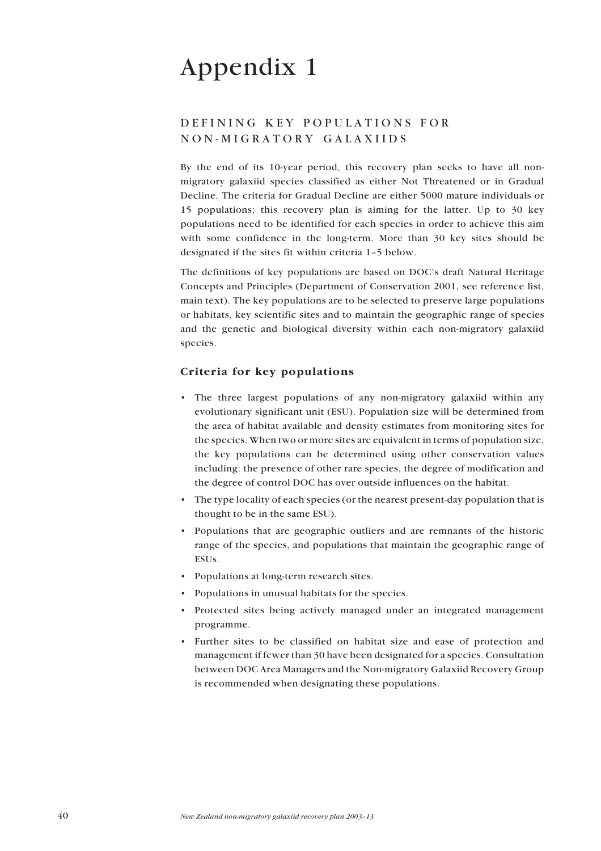## <span id="page-39-0"></span>DEFINING KEY POPULATIONS FOR NON-MIGRATORY GALAXIIDS

By the end of its 10-year period, this recovery plan seeks to have all nonmigratory galaxiid species classified as either Not Threatened or in Gradual Decline. The criteria for Gradual Decline are either 5000 mature individuals or 15 populations; this recovery plan is aiming for the latter. Up to 30 key populations need to be identified for each species in order to achieve this aim with some confidence in the long-term. More than 30 key sites should be designated if the sites fit within criteria 1-5 below.

The definitions of key populations are based on DOC's draft Natural Heritage Concepts and Principles (Department of Conservation 2001, see reference list, main text). The key populations are to be selected to preserve large populations or habitats, key scientific sites and to maintain the geographic range of species and the genetic and biological diversity within each non-migratory galaxiid species.

## **Criteria for key populations**

- The three largest populations of any non-migratory galaxiid within any evolutionary significant unit (ESU). Population size will be determined from the area of habitat available and density estimates from monitoring sites for the species. When two or more sites are equivalent in terms of population size, the key populations can be determined using other conservation values including: the presence of other rare species, the degree of modification and the degree of control DOC has over outside influences on the habitat.
- ï The type locality of each species (or the nearest present-day population that is thought to be in the same ESU).
- Populations that are geographic outliers and are remnants of the historic range of the species, and populations that maintain the geographic range of ESUs.
- Populations at long-term research sites.
- Populations in unusual habitats for the species.
- ï Protected sites being actively managed under an integrated management programme.
- Further sites to be classified on habitat size and ease of protection and management if fewer than 30 have been designated for a species. Consultation between DOC Area Managers and the Non-migratory Galaxiid Recovery Group is recommended when designating these populations.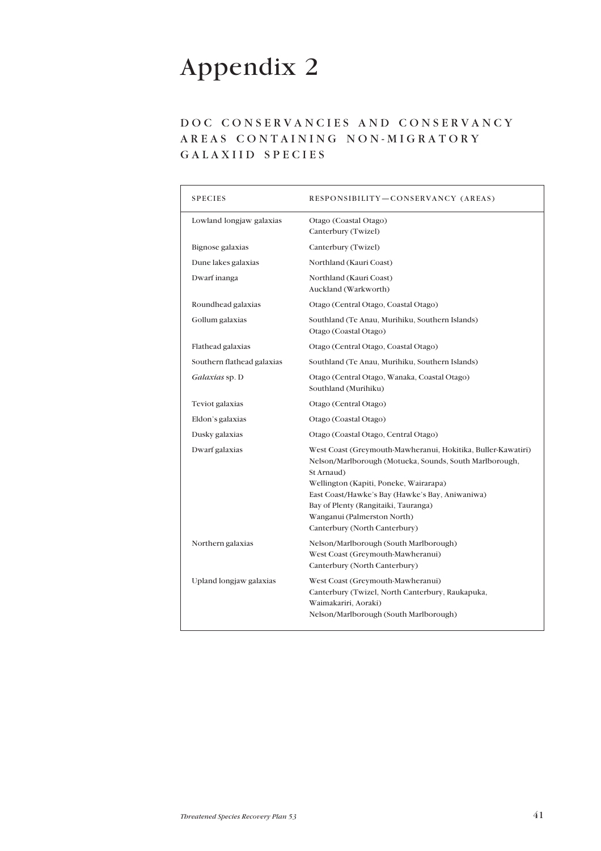## <span id="page-40-0"></span>DOC CONSERVANCIES AND CONSERVANCY AREAS CONTAINING NON-MIGRATORY GALAXIID SPECIES

| <b>SPECIES</b>             | RESPONSIBILITY-CONSERVANCY (AREAS)                                                                                                                                                                                                                                                                                                         |
|----------------------------|--------------------------------------------------------------------------------------------------------------------------------------------------------------------------------------------------------------------------------------------------------------------------------------------------------------------------------------------|
| Lowland longjaw galaxias   | Otago (Coastal Otago)<br>Canterbury (Twizel)                                                                                                                                                                                                                                                                                               |
| Bignose galaxias           | Canterbury (Twizel)                                                                                                                                                                                                                                                                                                                        |
| Dune lakes galaxias        | Northland (Kauri Coast)                                                                                                                                                                                                                                                                                                                    |
| Dwarf inanga               | Northland (Kauri Coast)<br>Auckland (Warkworth)                                                                                                                                                                                                                                                                                            |
| Roundhead galaxias         | Otago (Central Otago, Coastal Otago)                                                                                                                                                                                                                                                                                                       |
| Gollum galaxias            | Southland (Te Anau, Murihiku, Southern Islands)<br>Otago (Coastal Otago)                                                                                                                                                                                                                                                                   |
| Flathead galaxias          | Otago (Central Otago, Coastal Otago)                                                                                                                                                                                                                                                                                                       |
| Southern flathead galaxias | Southland (Te Anau, Murihiku, Southern Islands)                                                                                                                                                                                                                                                                                            |
| Galaxias sp. D             | Otago (Central Otago, Wanaka, Coastal Otago)<br>Southland (Murihiku)                                                                                                                                                                                                                                                                       |
| Teviot galaxias            | Otago (Central Otago)                                                                                                                                                                                                                                                                                                                      |
| Eldon's galaxias           | Otago (Coastal Otago)                                                                                                                                                                                                                                                                                                                      |
| Dusky galaxias             | Otago (Coastal Otago, Central Otago)                                                                                                                                                                                                                                                                                                       |
| Dwarf galaxias             | West Coast (Greymouth-Mawheranui, Hokitika, Buller-Kawatiri)<br>Nelson/Marlborough (Motueka, Sounds, South Marlborough,<br>St Arnaud)<br>Wellington (Kapiti, Poneke, Wairarapa)<br>East Coast/Hawke's Bay (Hawke's Bay, Aniwaniwa)<br>Bay of Plenty (Rangitaiki, Tauranga)<br>Wanganui (Palmerston North)<br>Canterbury (North Canterbury) |
| Northern galaxias          | Nelson/Marlborough (South Marlborough)<br>West Coast (Greymouth-Mawheranui)<br>Canterbury (North Canterbury)                                                                                                                                                                                                                               |
| Upland longjaw galaxias    | West Coast (Greymouth-Mawheranui)<br>Canterbury (Twizel, North Canterbury, Raukapuka,<br>Waimakariri, Aoraki)<br>Nelson/Marlborough (South Marlborough)                                                                                                                                                                                    |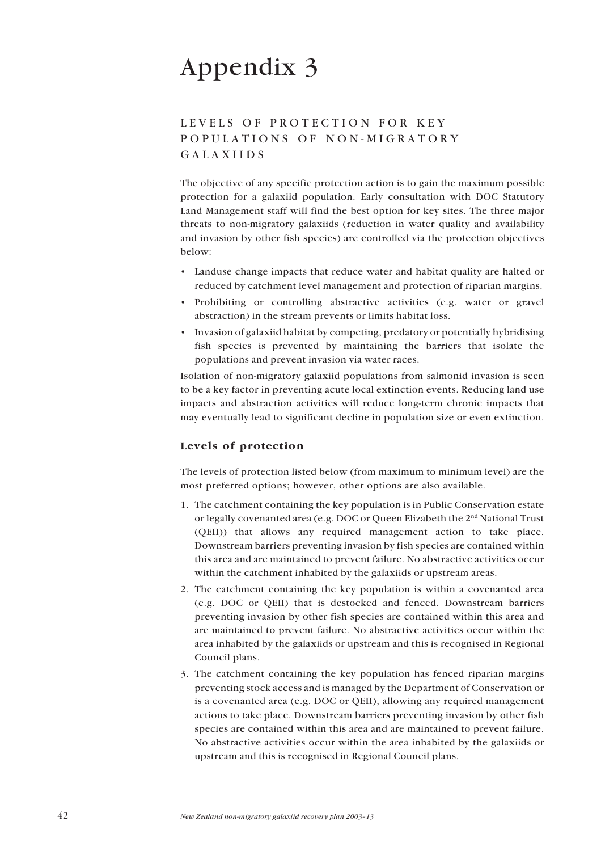## LEVELS OF PROTECTION FOR KEY POPULATIONS OF NON-MIGRATORY GALAXIIDS

The objective of any specific protection action is to gain the maximum possible protection for a galaxiid population. Early consultation with DOC Statutory Land Management staff will find the best option for key sites. The three major threats to non-migratory galaxiids (reduction in water quality and availability and invasion by other fish species) are controlled via the protection objectives below:

- Landuse change impacts that reduce water and habitat quality are halted or reduced by catchment level management and protection of riparian margins.
- Prohibiting or controlling abstractive activities (e.g. water or gravel abstraction) in the stream prevents or limits habitat loss.
- Invasion of galaxiid habitat by competing, predatory or potentially hybridising fish species is prevented by maintaining the barriers that isolate the populations and prevent invasion via water races.

Isolation of non-migratory galaxiid populations from salmonid invasion is seen to be a key factor in preventing acute local extinction events. Reducing land use impacts and abstraction activities will reduce long-term chronic impacts that may eventually lead to significant decline in population size or even extinction.

## **Levels of protection**

The levels of protection listed below (from maximum to minimum level) are the most preferred options; however, other options are also available.

- 1. The catchment containing the key population is in Public Conservation estate or legally covenanted area (e.g. DOC or Queen Elizabeth the 2nd National Trust (QEII)) that allows any required management action to take place. Downstream barriers preventing invasion by fish species are contained within this area and are maintained to prevent failure. No abstractive activities occur within the catchment inhabited by the galaxiids or upstream areas.
- 2. The catchment containing the key population is within a covenanted area (e.g. DOC or QEII) that is destocked and fenced. Downstream barriers preventing invasion by other fish species are contained within this area and are maintained to prevent failure. No abstractive activities occur within the area inhabited by the galaxiids or upstream and this is recognised in Regional Council plans.
- 3. The catchment containing the key population has fenced riparian margins preventing stock access and is managed by the Department of Conservation or is a covenanted area (e.g. DOC or QEII), allowing any required management actions to take place. Downstream barriers preventing invasion by other fish species are contained within this area and are maintained to prevent failure. No abstractive activities occur within the area inhabited by the galaxiids or upstream and this is recognised in Regional Council plans.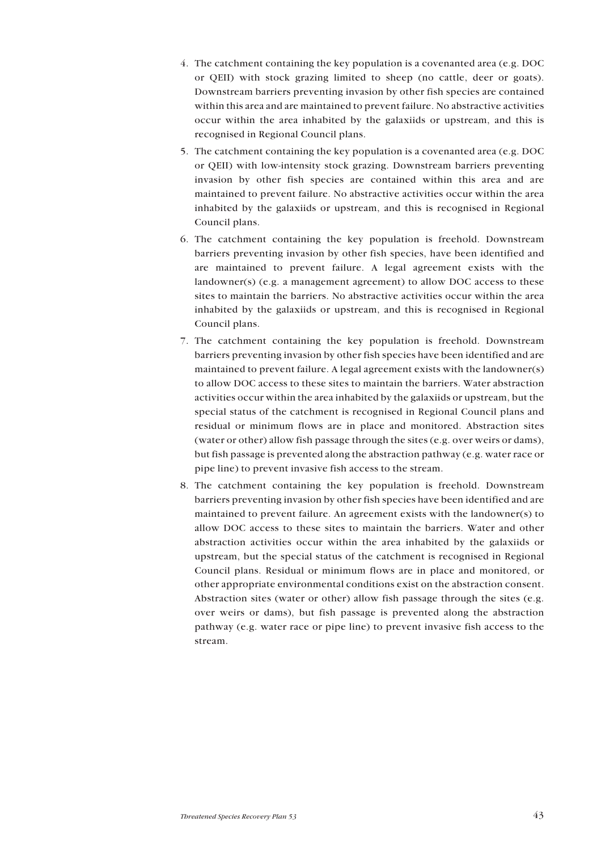- <span id="page-42-0"></span>4. The catchment containing the key population is a covenanted area (e.g. DOC or QEII) with stock grazing limited to sheep (no cattle, deer or goats). Downstream barriers preventing invasion by other fish species are contained within this area and are maintained to prevent failure. No abstractive activities occur within the area inhabited by the galaxiids or upstream, and this is recognised in Regional Council plans.
- 5. The catchment containing the key population is a covenanted area (e.g. DOC or QEII) with low-intensity stock grazing. Downstream barriers preventing invasion by other fish species are contained within this area and are maintained to prevent failure. No abstractive activities occur within the area inhabited by the galaxiids or upstream, and this is recognised in Regional Council plans.
- 6. The catchment containing the key population is freehold. Downstream barriers preventing invasion by other fish species, have been identified and are maintained to prevent failure. A legal agreement exists with the landowner(s) (e.g. a management agreement) to allow DOC access to these sites to maintain the barriers. No abstractive activities occur within the area inhabited by the galaxiids or upstream, and this is recognised in Regional Council plans.
- 7. The catchment containing the key population is freehold. Downstream barriers preventing invasion by other fish species have been identified and are maintained to prevent failure. A legal agreement exists with the landowner(s) to allow DOC access to these sites to maintain the barriers. Water abstraction activities occur within the area inhabited by the galaxiids or upstream, but the special status of the catchment is recognised in Regional Council plans and residual or minimum flows are in place and monitored. Abstraction sites (water or other) allow fish passage through the sites (e.g. over weirs or dams), but fish passage is prevented along the abstraction pathway (e.g. water race or pipe line) to prevent invasive fish access to the stream.
- 8. The catchment containing the key population is freehold. Downstream barriers preventing invasion by other fish species have been identified and are maintained to prevent failure. An agreement exists with the landowner(s) to allow DOC access to these sites to maintain the barriers. Water and other abstraction activities occur within the area inhabited by the galaxiids or upstream, but the special status of the catchment is recognised in Regional Council plans. Residual or minimum flows are in place and monitored, or other appropriate environmental conditions exist on the abstraction consent. Abstraction sites (water or other) allow fish passage through the sites (e.g. over weirs or dams), but fish passage is prevented along the abstraction pathway (e.g. water race or pipe line) to prevent invasive fish access to the stream.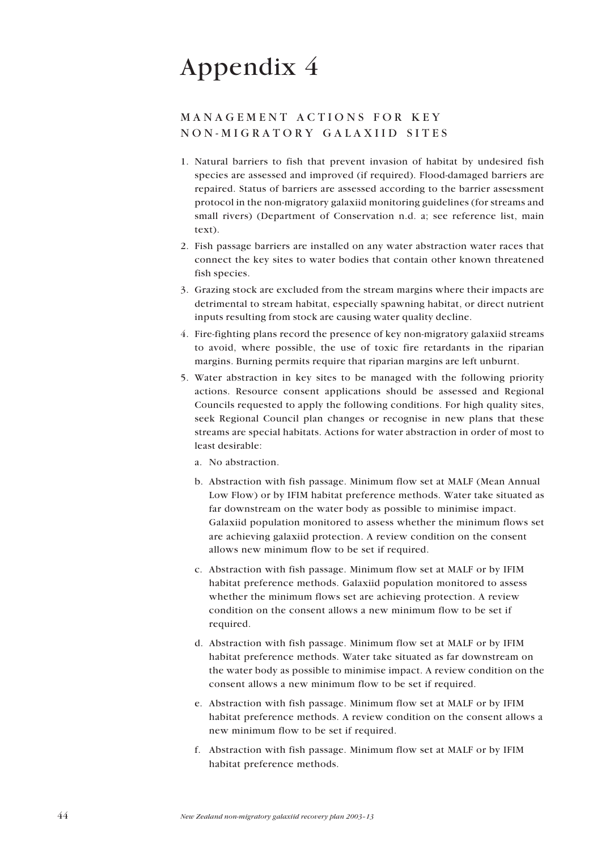## MANAGEMENT ACTIONS FOR KEY NON-MIGRATORY GALAXIID SITES

- 1. Natural barriers to fish that prevent invasion of habitat by undesired fish species are assessed and improved (if required). Flood-damaged barriers are repaired. Status of barriers are assessed according to the barrier assessment protocol in the non-migratory galaxiid monitoring guidelines (for streams and small rivers) (Department of Conservation n.d. a; see reference list, main text).
- 2. Fish passage barriers are installed on any water abstraction water races that connect the key sites to water bodies that contain other known threatened fish species.
- 3. Grazing stock are excluded from the stream margins where their impacts are detrimental to stream habitat, especially spawning habitat, or direct nutrient inputs resulting from stock are causing water quality decline.
- 4. Fire-fighting plans record the presence of key non-migratory galaxiid streams to avoid, where possible, the use of toxic fire retardants in the riparian margins. Burning permits require that riparian margins are left unburnt.
- 5. Water abstraction in key sites to be managed with the following priority actions. Resource consent applications should be assessed and Regional Councils requested to apply the following conditions. For high quality sites, seek Regional Council plan changes or recognise in new plans that these streams are special habitats. Actions for water abstraction in order of most to least desirable:
	- a. No abstraction.
	- b. Abstraction with fish passage. Minimum flow set at MALF (Mean Annual Low Flow) or by IFIM habitat preference methods. Water take situated as far downstream on the water body as possible to minimise impact. Galaxiid population monitored to assess whether the minimum flows set are achieving galaxiid protection. A review condition on the consent allows new minimum flow to be set if required.
	- c. Abstraction with fish passage. Minimum flow set at MALF or by IFIM habitat preference methods. Galaxiid population monitored to assess whether the minimum flows set are achieving protection. A review condition on the consent allows a new minimum flow to be set if required.
	- d. Abstraction with fish passage. Minimum flow set at MALF or by IFIM habitat preference methods. Water take situated as far downstream on the water body as possible to minimise impact. A review condition on the consent allows a new minimum flow to be set if required.
	- e. Abstraction with fish passage. Minimum flow set at MALF or by IFIM habitat preference methods. A review condition on the consent allows a new minimum flow to be set if required.
	- f. Abstraction with fish passage. Minimum flow set at MALF or by IFIM habitat preference methods.